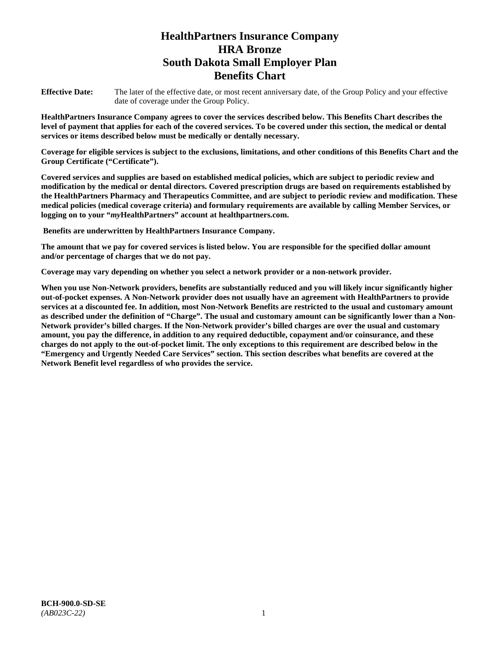# **HealthPartners Insurance Company HRA Bronze South Dakota Small Employer Plan Benefits Chart**

**Effective Date:** The later of the effective date, or most recent anniversary date, of the Group Policy and your effective date of coverage under the Group Policy.

**HealthPartners Insurance Company agrees to cover the services described below. This Benefits Chart describes the level of payment that applies for each of the covered services. To be covered under this section, the medical or dental services or items described below must be medically or dentally necessary.**

**Coverage for eligible services is subject to the exclusions, limitations, and other conditions of this Benefits Chart and the Group Certificate ("Certificate").**

**Covered services and supplies are based on established medical policies, which are subject to periodic review and modification by the medical or dental directors. Covered prescription drugs are based on requirements established by the HealthPartners Pharmacy and Therapeutics Committee, and are subject to periodic review and modification. These medical policies (medical coverage criteria) and formulary requirements are available by calling Member Services, or logging on to your "***my***HealthPartners" account at [healthpartners.com.](file://isntmacsrv0/www.healthpartners.com)**

**Benefits are underwritten by HealthPartners Insurance Company.**

**The amount that we pay for covered services is listed below. You are responsible for the specified dollar amount and/or percentage of charges that we do not pay.**

**Coverage may vary depending on whether you select a network provider or a non-network provider.**

**When you use Non-Network providers, benefits are substantially reduced and you will likely incur significantly higher out-of-pocket expenses. A Non-Network provider does not usually have an agreement with HealthPartners to provide services at a discounted fee. In addition, most Non-Network Benefits are restricted to the usual and customary amount as described under the definition of "Charge". The usual and customary amount can be significantly lower than a Non-Network provider's billed charges. If the Non-Network provider's billed charges are over the usual and customary amount, you pay the difference, in addition to any required deductible, copayment and/or coinsurance, and these charges do not apply to the out-of-pocket limit. The only exceptions to this requirement are described below in the "Emergency and Urgently Needed Care Services" section. This section describes what benefits are covered at the Network Benefit level regardless of who provides the service.**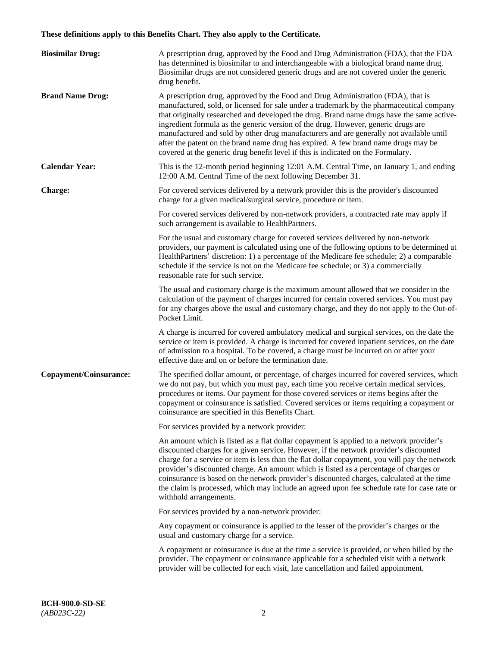# **These definitions apply to this Benefits Chart. They also apply to the Certificate.**

| <b>Biosimilar Drug:</b> | A prescription drug, approved by the Food and Drug Administration (FDA), that the FDA<br>has determined is biosimilar to and interchangeable with a biological brand name drug.<br>Biosimilar drugs are not considered generic drugs and are not covered under the generic<br>drug benefit.                                                                                                                                                                                                                                                                                                                                         |
|-------------------------|-------------------------------------------------------------------------------------------------------------------------------------------------------------------------------------------------------------------------------------------------------------------------------------------------------------------------------------------------------------------------------------------------------------------------------------------------------------------------------------------------------------------------------------------------------------------------------------------------------------------------------------|
| <b>Brand Name Drug:</b> | A prescription drug, approved by the Food and Drug Administration (FDA), that is<br>manufactured, sold, or licensed for sale under a trademark by the pharmaceutical company<br>that originally researched and developed the drug. Brand name drugs have the same active-<br>ingredient formula as the generic version of the drug. However, generic drugs are<br>manufactured and sold by other drug manufacturers and are generally not available until<br>after the patent on the brand name drug has expired. A few brand name drugs may be<br>covered at the generic drug benefit level if this is indicated on the Formulary. |
| <b>Calendar Year:</b>   | This is the 12-month period beginning 12:01 A.M. Central Time, on January 1, and ending<br>12:00 A.M. Central Time of the next following December 31.                                                                                                                                                                                                                                                                                                                                                                                                                                                                               |
| <b>Charge:</b>          | For covered services delivered by a network provider this is the provider's discounted<br>charge for a given medical/surgical service, procedure or item.                                                                                                                                                                                                                                                                                                                                                                                                                                                                           |
|                         | For covered services delivered by non-network providers, a contracted rate may apply if<br>such arrangement is available to HealthPartners.                                                                                                                                                                                                                                                                                                                                                                                                                                                                                         |
|                         | For the usual and customary charge for covered services delivered by non-network<br>providers, our payment is calculated using one of the following options to be determined at<br>HealthPartners' discretion: 1) a percentage of the Medicare fee schedule; 2) a comparable<br>schedule if the service is not on the Medicare fee schedule; or 3) a commercially<br>reasonable rate for such service.                                                                                                                                                                                                                              |
|                         | The usual and customary charge is the maximum amount allowed that we consider in the<br>calculation of the payment of charges incurred for certain covered services. You must pay<br>for any charges above the usual and customary charge, and they do not apply to the Out-of-<br>Pocket Limit.                                                                                                                                                                                                                                                                                                                                    |
|                         | A charge is incurred for covered ambulatory medical and surgical services, on the date the<br>service or item is provided. A charge is incurred for covered inpatient services, on the date<br>of admission to a hospital. To be covered, a charge must be incurred on or after your<br>effective date and on or before the termination date.                                                                                                                                                                                                                                                                                       |
| Copayment/Coinsurance:  | The specified dollar amount, or percentage, of charges incurred for covered services, which<br>we do not pay, but which you must pay, each time you receive certain medical services,<br>procedures or items. Our payment for those covered services or items begins after the<br>copayment or coinsurance is satisfied. Covered services or items requiring a copayment or<br>coinsurance are specified in this Benefits Chart.                                                                                                                                                                                                    |
|                         | For services provided by a network provider:                                                                                                                                                                                                                                                                                                                                                                                                                                                                                                                                                                                        |
|                         | An amount which is listed as a flat dollar copayment is applied to a network provider's<br>discounted charges for a given service. However, if the network provider's discounted<br>charge for a service or item is less than the flat dollar copayment, you will pay the network<br>provider's discounted charge. An amount which is listed as a percentage of charges or<br>coinsurance is based on the network provider's discounted charges, calculated at the time<br>the claim is processed, which may include an agreed upon fee schedule rate for case rate or<br>withhold arrangements.                                    |
|                         | For services provided by a non-network provider:                                                                                                                                                                                                                                                                                                                                                                                                                                                                                                                                                                                    |
|                         | Any copayment or coinsurance is applied to the lesser of the provider's charges or the<br>usual and customary charge for a service.                                                                                                                                                                                                                                                                                                                                                                                                                                                                                                 |
|                         | A copayment or coinsurance is due at the time a service is provided, or when billed by the<br>provider. The copayment or coinsurance applicable for a scheduled visit with a network<br>provider will be collected for each visit, late cancellation and failed appointment.                                                                                                                                                                                                                                                                                                                                                        |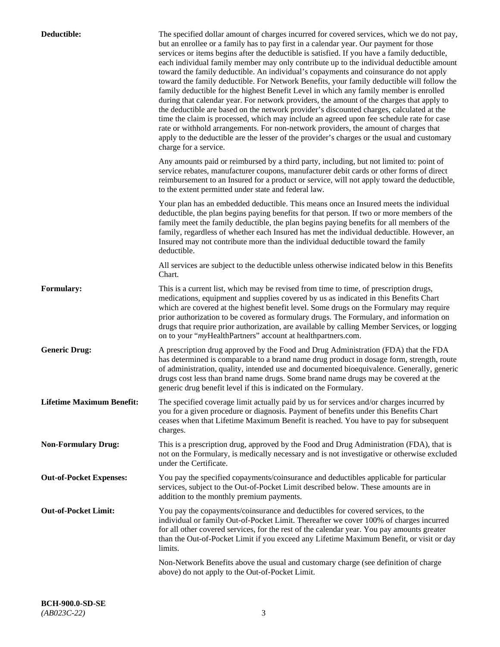| Deductible:                      | The specified dollar amount of charges incurred for covered services, which we do not pay,<br>but an enrollee or a family has to pay first in a calendar year. Our payment for those<br>services or items begins after the deductible is satisfied. If you have a family deductible,<br>each individual family member may only contribute up to the individual deductible amount<br>toward the family deductible. An individual's copayments and coinsurance do not apply<br>toward the family deductible. For Network Benefits, your family deductible will follow the<br>family deductible for the highest Benefit Level in which any family member is enrolled<br>during that calendar year. For network providers, the amount of the charges that apply to<br>the deductible are based on the network provider's discounted charges, calculated at the<br>time the claim is processed, which may include an agreed upon fee schedule rate for case<br>rate or withhold arrangements. For non-network providers, the amount of charges that<br>apply to the deductible are the lesser of the provider's charges or the usual and customary<br>charge for a service. |
|----------------------------------|------------------------------------------------------------------------------------------------------------------------------------------------------------------------------------------------------------------------------------------------------------------------------------------------------------------------------------------------------------------------------------------------------------------------------------------------------------------------------------------------------------------------------------------------------------------------------------------------------------------------------------------------------------------------------------------------------------------------------------------------------------------------------------------------------------------------------------------------------------------------------------------------------------------------------------------------------------------------------------------------------------------------------------------------------------------------------------------------------------------------------------------------------------------------|
|                                  | Any amounts paid or reimbursed by a third party, including, but not limited to: point of<br>service rebates, manufacturer coupons, manufacturer debit cards or other forms of direct<br>reimbursement to an Insured for a product or service, will not apply toward the deductible,<br>to the extent permitted under state and federal law.                                                                                                                                                                                                                                                                                                                                                                                                                                                                                                                                                                                                                                                                                                                                                                                                                            |
|                                  | Your plan has an embedded deductible. This means once an Insured meets the individual<br>deductible, the plan begins paying benefits for that person. If two or more members of the<br>family meet the family deductible, the plan begins paying benefits for all members of the<br>family, regardless of whether each Insured has met the individual deductible. However, an<br>Insured may not contribute more than the individual deductible toward the family<br>deductible.                                                                                                                                                                                                                                                                                                                                                                                                                                                                                                                                                                                                                                                                                       |
|                                  | All services are subject to the deductible unless otherwise indicated below in this Benefits<br>Chart.                                                                                                                                                                                                                                                                                                                                                                                                                                                                                                                                                                                                                                                                                                                                                                                                                                                                                                                                                                                                                                                                 |
| <b>Formulary:</b>                | This is a current list, which may be revised from time to time, of prescription drugs,<br>medications, equipment and supplies covered by us as indicated in this Benefits Chart<br>which are covered at the highest benefit level. Some drugs on the Formulary may require<br>prior authorization to be covered as formulary drugs. The Formulary, and information on<br>drugs that require prior authorization, are available by calling Member Services, or logging<br>on to your "myHealthPartners" account at healthpartners.com.                                                                                                                                                                                                                                                                                                                                                                                                                                                                                                                                                                                                                                  |
| <b>Generic Drug:</b>             | A prescription drug approved by the Food and Drug Administration (FDA) that the FDA<br>has determined is comparable to a brand name drug product in dosage form, strength, route<br>of administration, quality, intended use and documented bioequivalence. Generally, generic<br>drugs cost less than brand name drugs. Some brand name drugs may be covered at the<br>generic drug benefit level if this is indicated on the Formulary.                                                                                                                                                                                                                                                                                                                                                                                                                                                                                                                                                                                                                                                                                                                              |
| <b>Lifetime Maximum Benefit:</b> | The specified coverage limit actually paid by us for services and/or charges incurred by<br>you for a given procedure or diagnosis. Payment of benefits under this Benefits Chart<br>ceases when that Lifetime Maximum Benefit is reached. You have to pay for subsequent<br>charges.                                                                                                                                                                                                                                                                                                                                                                                                                                                                                                                                                                                                                                                                                                                                                                                                                                                                                  |
| <b>Non-Formulary Drug:</b>       | This is a prescription drug, approved by the Food and Drug Administration (FDA), that is<br>not on the Formulary, is medically necessary and is not investigative or otherwise excluded<br>under the Certificate.                                                                                                                                                                                                                                                                                                                                                                                                                                                                                                                                                                                                                                                                                                                                                                                                                                                                                                                                                      |
| <b>Out-of-Pocket Expenses:</b>   | You pay the specified copayments/coinsurance and deductibles applicable for particular<br>services, subject to the Out-of-Pocket Limit described below. These amounts are in<br>addition to the monthly premium payments.                                                                                                                                                                                                                                                                                                                                                                                                                                                                                                                                                                                                                                                                                                                                                                                                                                                                                                                                              |
| <b>Out-of-Pocket Limit:</b>      | You pay the copayments/coinsurance and deductibles for covered services, to the<br>individual or family Out-of-Pocket Limit. Thereafter we cover 100% of charges incurred<br>for all other covered services, for the rest of the calendar year. You pay amounts greater<br>than the Out-of-Pocket Limit if you exceed any Lifetime Maximum Benefit, or visit or day<br>limits.                                                                                                                                                                                                                                                                                                                                                                                                                                                                                                                                                                                                                                                                                                                                                                                         |
|                                  | Non-Network Benefits above the usual and customary charge (see definition of charge<br>above) do not apply to the Out-of-Pocket Limit.                                                                                                                                                                                                                                                                                                                                                                                                                                                                                                                                                                                                                                                                                                                                                                                                                                                                                                                                                                                                                                 |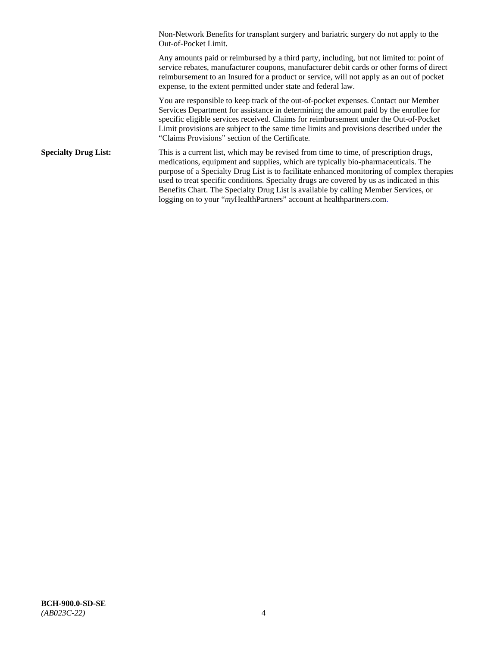Non-Network Benefits for transplant surgery and bariatric surgery do not apply to the Out-of-Pocket Limit.

Any amounts paid or reimbursed by a third party, including, but not limited to: point of service rebates, manufacturer coupons, manufacturer debit cards or other forms of direct reimbursement to an Insured for a product or service, will not apply as an out of pocket expense, to the extent permitted under state and federal law.

You are responsible to keep track of the out-of-pocket expenses. Contact our Member Services Department for assistance in determining the amount paid by the enrollee for specific eligible services received. Claims for reimbursement under the Out-of-Pocket Limit provisions are subject to the same time limits and provisions described under the "Claims Provisions" section of the Certificate.

**Specialty Drug List:** This is a current list, which may be revised from time to time, of prescription drugs, medications, equipment and supplies, which are typically bio-pharmaceuticals. The purpose of a Specialty Drug List is to facilitate enhanced monitoring of complex therapies used to treat specific conditions. Specialty drugs are covered by us as indicated in this Benefits Chart. The Specialty Drug List is available by calling Member Services, or logging on to your "*my*HealthPartners" account at [healthpartners.com.](http://healthpartners.com/)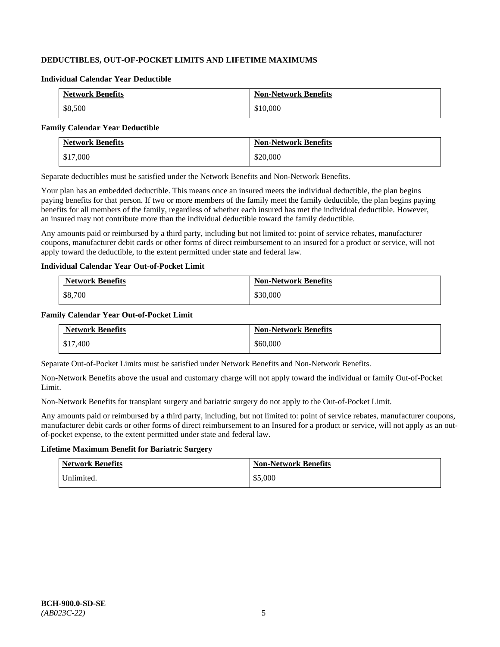# **DEDUCTIBLES, OUT-OF-POCKET LIMITS AND LIFETIME MAXIMUMS**

#### **Individual Calendar Year Deductible**

| <b>Network Benefits</b> | <b>Non-Network Benefits</b> |
|-------------------------|-----------------------------|
| \$8,500                 | \$10,000                    |

#### **Family Calendar Year Deductible**

| <b>Network Benefits</b> | <b>Non-Network Benefits</b> |
|-------------------------|-----------------------------|
| \$17,000                | \$20,000                    |

Separate deductibles must be satisfied under the Network Benefits and Non-Network Benefits.

Your plan has an embedded deductible. This means once an insured meets the individual deductible, the plan begins paying benefits for that person. If two or more members of the family meet the family deductible, the plan begins paying benefits for all members of the family, regardless of whether each insured has met the individual deductible. However, an insured may not contribute more than the individual deductible toward the family deductible.

Any amounts paid or reimbursed by a third party, including but not limited to: point of service rebates, manufacturer coupons, manufacturer debit cards or other forms of direct reimbursement to an insured for a product or service, will not apply toward the deductible, to the extent permitted under state and federal law.

### **Individual Calendar Year Out-of-Pocket Limit**

| <b>Network Benefits</b> | <b>Non-Network Benefits</b> |
|-------------------------|-----------------------------|
| \$8,700                 | \$30,000                    |

### **Family Calendar Year Out-of-Pocket Limit**

| <b>Network Benefits</b> | <b>Non-Network Benefits</b> |
|-------------------------|-----------------------------|
| \$17,400                | \$60,000                    |

Separate Out-of-Pocket Limits must be satisfied under Network Benefits and Non-Network Benefits.

Non-Network Benefits above the usual and customary charge will not apply toward the individual or family Out-of-Pocket Limit.

Non-Network Benefits for transplant surgery and bariatric surgery do not apply to the Out-of-Pocket Limit.

Any amounts paid or reimbursed by a third party, including, but not limited to: point of service rebates, manufacturer coupons, manufacturer debit cards or other forms of direct reimbursement to an Insured for a product or service, will not apply as an outof-pocket expense, to the extent permitted under state and federal law.

# **Lifetime Maximum Benefit for Bariatric Surgery**

| <b>Network Benefits</b> | <b>Non-Network Benefits</b> |
|-------------------------|-----------------------------|
| Unlimited.              | \$5,000                     |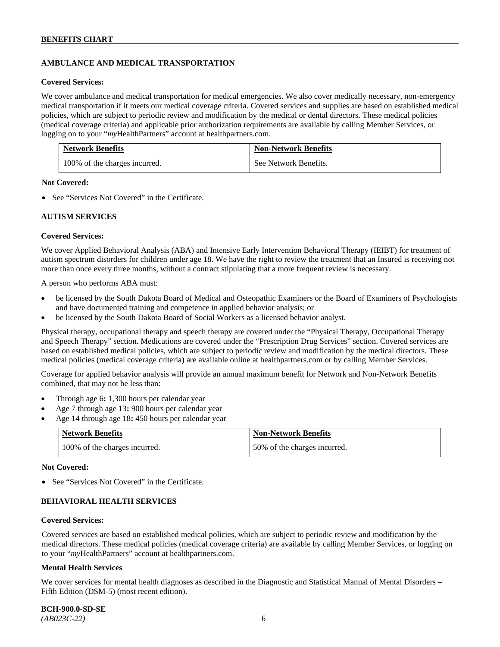# **AMBULANCE AND MEDICAL TRANSPORTATION**

#### **Covered Services:**

We cover ambulance and medical transportation for medical emergencies. We also cover medically necessary, non-emergency medical transportation if it meets our medical coverage criteria. Covered services and supplies are based on established medical policies, which are subject to periodic review and modification by the medical or dental directors. These medical policies (medical coverage criteria) and applicable prior authorization requirements are available by calling Member Services, or logging on to your "*my*HealthPartners" account at [healthpartners.com.](http://healthpartners.com/)

| <b>Network Benefits</b>       | <b>Non-Network Benefits</b> |
|-------------------------------|-----------------------------|
| 100% of the charges incurred. | See Network Benefits.       |

### **Not Covered:**

• See "Services Not Covered" in the Certificate.

### **AUTISM SERVICES**

### **Covered Services:**

We cover Applied Behavioral Analysis (ABA) and Intensive Early Intervention Behavioral Therapy (IEIBT) for treatment of autism spectrum disorders for children under age 18. We have the right to review the treatment that an Insured is receiving not more than once every three months, without a contract stipulating that a more frequent review is necessary.

A person who performs ABA must:

- be licensed by the South Dakota Board of Medical and Osteopathic Examiners or the Board of Examiners of Psychologists and have documented training and competence in applied behavior analysis; or
- be licensed by the South Dakota Board of Social Workers as a licensed behavior analyst.

Physical therapy, occupational therapy and speech therapy are covered under the "Physical Therapy, Occupational Therapy and Speech Therapy" section. Medications are covered under the "Prescription Drug Services" section. Covered services are based on established medical policies, which are subject to periodic review and modification by the medical directors. These medical policies (medical coverage criteria) are available online at [healthpartners.com](http://healthpartners.com/) or by calling Member Services.

Coverage for applied behavior analysis will provide an annual maximum benefit for Network and Non-Network Benefits combined, that may not be less than:

- Through age 6**:** 1,300 hours per calendar year
- Age 7 through age 13**:** 900 hours per calendar year
- Age 14 through age 18**:** 450 hours per calendar year

| <b>Network Benefits</b>       | <b>Non-Network Benefits</b>  |
|-------------------------------|------------------------------|
| 100% of the charges incurred. | 50% of the charges incurred. |

#### **Not Covered:**

• See "Services Not Covered" in the Certificate.

### **BEHAVIORAL HEALTH SERVICES**

#### **Covered Services:**

Covered services are based on established medical policies, which are subject to periodic review and modification by the medical directors. These medical policies (medical coverage criteria) are available by calling Member Services, or logging on to your "*my*HealthPartners" account at [healthpartners.com.](http://healthpartners.com/)

#### **Mental Health Services**

We cover services for mental health diagnoses as described in the Diagnostic and Statistical Manual of Mental Disorders – Fifth Edition (DSM-5) (most recent edition).

**BCH-900.0-SD-SE**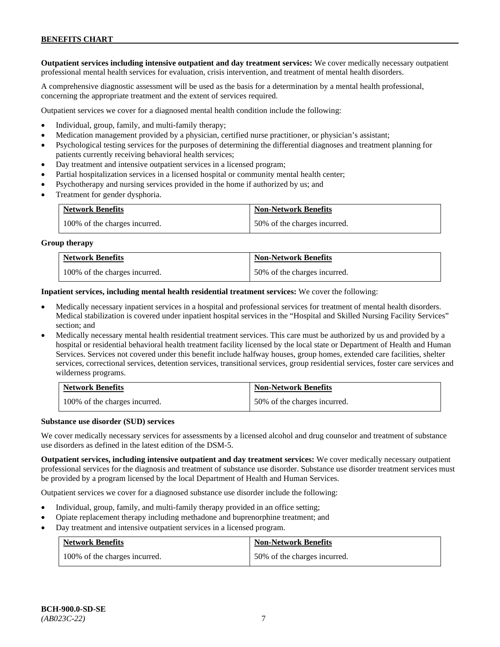**Outpatient services including intensive outpatient and day treatment services:** We cover medically necessary outpatient professional mental health services for evaluation, crisis intervention, and treatment of mental health disorders.

A comprehensive diagnostic assessment will be used as the basis for a determination by a mental health professional, concerning the appropriate treatment and the extent of services required.

Outpatient services we cover for a diagnosed mental health condition include the following:

- Individual, group, family, and multi-family therapy;
- Medication management provided by a physician, certified nurse practitioner, or physician's assistant;
- Psychological testing services for the purposes of determining the differential diagnoses and treatment planning for patients currently receiving behavioral health services;
- Day treatment and intensive outpatient services in a licensed program;
- Partial hospitalization services in a licensed hospital or community mental health center;
- Psychotherapy and nursing services provided in the home if authorized by us; and
- Treatment for gender dysphoria.

| <b>Network Benefits</b>       | <b>Non-Network Benefits</b>  |
|-------------------------------|------------------------------|
| 100% of the charges incurred. | 50% of the charges incurred. |

#### **Group therapy**

| <b>Network Benefits</b>       | <b>Non-Network Benefits</b>  |
|-------------------------------|------------------------------|
| 100% of the charges incurred. | 50% of the charges incurred. |

**Inpatient services, including mental health residential treatment services:** We cover the following:

- Medically necessary inpatient services in a hospital and professional services for treatment of mental health disorders. Medical stabilization is covered under inpatient hospital services in the "Hospital and Skilled Nursing Facility Services" section; and
- Medically necessary mental health residential treatment services. This care must be authorized by us and provided by a hospital or residential behavioral health treatment facility licensed by the local state or Department of Health and Human Services. Services not covered under this benefit include halfway houses, group homes, extended care facilities, shelter services, correctional services, detention services, transitional services, group residential services, foster care services and wilderness programs.

| <b>Network Benefits</b>       | <b>Non-Network Benefits</b>  |
|-------------------------------|------------------------------|
| 100% of the charges incurred. | 50% of the charges incurred. |

#### **Substance use disorder (SUD) services**

We cover medically necessary services for assessments by a licensed alcohol and drug counselor and treatment of substance use disorders as defined in the latest edition of the DSM-5.

**Outpatient services, including intensive outpatient and day treatment services:** We cover medically necessary outpatient professional services for the diagnosis and treatment of substance use disorder. Substance use disorder treatment services must be provided by a program licensed by the local Department of Health and Human Services.

Outpatient services we cover for a diagnosed substance use disorder include the following:

- Individual, group, family, and multi-family therapy provided in an office setting;
- Opiate replacement therapy including methadone and buprenorphine treatment; and
- Day treatment and intensive outpatient services in a licensed program.

| <b>Network Benefits</b>       | <b>Non-Network Benefits</b>  |
|-------------------------------|------------------------------|
| 100% of the charges incurred. | 50% of the charges incurred. |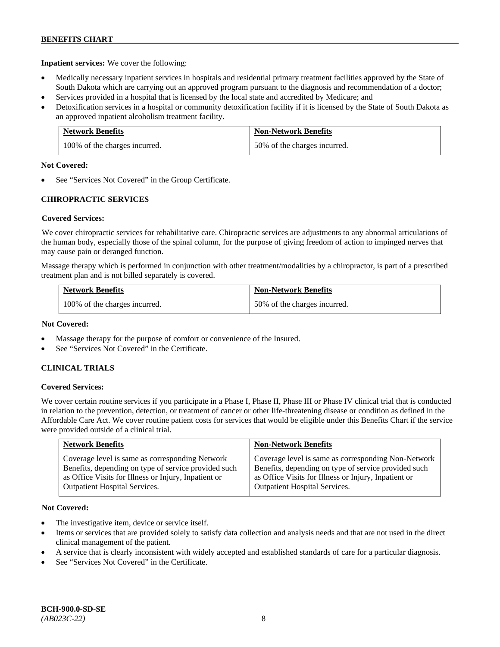**Inpatient services:** We cover the following:

- Medically necessary inpatient services in hospitals and residential primary treatment facilities approved by the State of South Dakota which are carrying out an approved program pursuant to the diagnosis and recommendation of a doctor;
- Services provided in a hospital that is licensed by the local state and accredited by Medicare; and
- Detoxification services in a hospital or community detoxification facility if it is licensed by the State of South Dakota as an approved inpatient alcoholism treatment facility.

| <b>Network Benefits</b>       | <b>Non-Network Benefits</b>  |
|-------------------------------|------------------------------|
| 100% of the charges incurred. | 50% of the charges incurred. |

### **Not Covered:**

See "Services Not Covered" in the Group Certificate.

# **CHIROPRACTIC SERVICES**

### **Covered Services:**

We cover chiropractic services for rehabilitative care. Chiropractic services are adjustments to any abnormal articulations of the human body, especially those of the spinal column, for the purpose of giving freedom of action to impinged nerves that may cause pain or deranged function.

Massage therapy which is performed in conjunction with other treatment/modalities by a chiropractor, is part of a prescribed treatment plan and is not billed separately is covered.

| <b>Network Benefits</b>       | <b>Non-Network Benefits</b>  |
|-------------------------------|------------------------------|
| 100% of the charges incurred. | 50% of the charges incurred. |

### **Not Covered:**

- Massage therapy for the purpose of comfort or convenience of the Insured.
- See "Services Not Covered" in the Certificate.

### **CLINICAL TRIALS**

### **Covered Services:**

We cover certain routine services if you participate in a Phase I, Phase II, Phase III or Phase IV clinical trial that is conducted in relation to the prevention, detection, or treatment of cancer or other life-threatening disease or condition as defined in the Affordable Care Act. We cover routine patient costs for services that would be eligible under this Benefits Chart if the service were provided outside of a clinical trial.

| <b>Network Benefits</b>                              | <b>Non-Network Benefits</b>                          |
|------------------------------------------------------|------------------------------------------------------|
| Coverage level is same as corresponding Network      | Coverage level is same as corresponding Non-Network  |
| Benefits, depending on type of service provided such | Benefits, depending on type of service provided such |
| as Office Visits for Illness or Injury, Inpatient or | as Office Visits for Illness or Injury, Inpatient or |
| <b>Outpatient Hospital Services.</b>                 | Outpatient Hospital Services.                        |

### **Not Covered:**

- The investigative item, device or service itself.
- Items or services that are provided solely to satisfy data collection and analysis needs and that are not used in the direct clinical management of the patient.
- A service that is clearly inconsistent with widely accepted and established standards of care for a particular diagnosis.
- See "Services Not Covered" in the Certificate.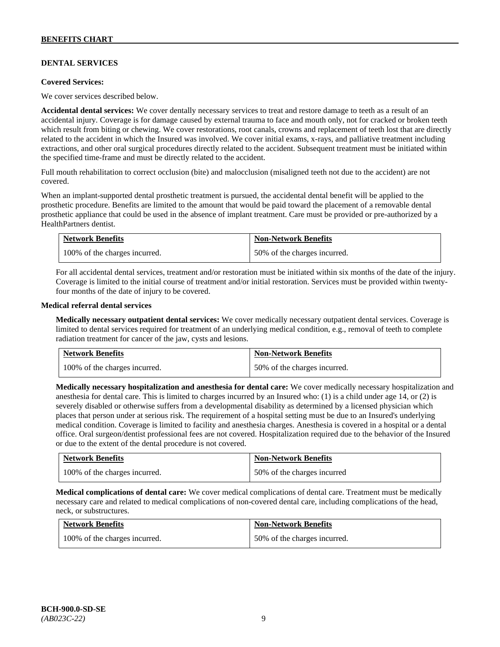# **DENTAL SERVICES**

#### **Covered Services:**

We cover services described below.

**Accidental dental services:** We cover dentally necessary services to treat and restore damage to teeth as a result of an accidental injury. Coverage is for damage caused by external trauma to face and mouth only, not for cracked or broken teeth which result from biting or chewing. We cover restorations, root canals, crowns and replacement of teeth lost that are directly related to the accident in which the Insured was involved. We cover initial exams, x-rays, and palliative treatment including extractions, and other oral surgical procedures directly related to the accident. Subsequent treatment must be initiated within the specified time-frame and must be directly related to the accident.

Full mouth rehabilitation to correct occlusion (bite) and malocclusion (misaligned teeth not due to the accident) are not covered.

When an implant-supported dental prosthetic treatment is pursued, the accidental dental benefit will be applied to the prosthetic procedure. Benefits are limited to the amount that would be paid toward the placement of a removable dental prosthetic appliance that could be used in the absence of implant treatment. Care must be provided or pre-authorized by a HealthPartners dentist.

| Network Benefits              | <b>Non-Network Benefits</b>  |
|-------------------------------|------------------------------|
| 100% of the charges incurred. | 50% of the charges incurred. |

For all accidental dental services, treatment and/or restoration must be initiated within six months of the date of the injury. Coverage is limited to the initial course of treatment and/or initial restoration. Services must be provided within twentyfour months of the date of injury to be covered.

### **Medical referral dental services**

**Medically necessary outpatient dental services:** We cover medically necessary outpatient dental services. Coverage is limited to dental services required for treatment of an underlying medical condition, e.g., removal of teeth to complete radiation treatment for cancer of the jaw, cysts and lesions.

| <b>Network Benefits</b>       | <b>Non-Network Benefits</b>  |
|-------------------------------|------------------------------|
| 100% of the charges incurred. | 50% of the charges incurred. |

**Medically necessary hospitalization and anesthesia for dental care:** We cover medically necessary hospitalization and anesthesia for dental care. This is limited to charges incurred by an Insured who: (1) is a child under age 14, or (2) is severely disabled or otherwise suffers from a developmental disability as determined by a licensed physician which places that person under at serious risk. The requirement of a hospital setting must be due to an Insured's underlying medical condition. Coverage is limited to facility and anesthesia charges. Anesthesia is covered in a hospital or a dental office. Oral surgeon/dentist professional fees are not covered. Hospitalization required due to the behavior of the Insured or due to the extent of the dental procedure is not covered.

| <b>Network Benefits</b>       | <b>Non-Network Benefits</b> |
|-------------------------------|-----------------------------|
| 100% of the charges incurred. | 50% of the charges incurred |

**Medical complications of dental care:** We cover medical complications of dental care. Treatment must be medically necessary care and related to medical complications of non-covered dental care, including complications of the head, neck, or substructures.

| <b>Network Benefits</b>       | <b>Non-Network Benefits</b>  |
|-------------------------------|------------------------------|
| 100% of the charges incurred. | 50% of the charges incurred. |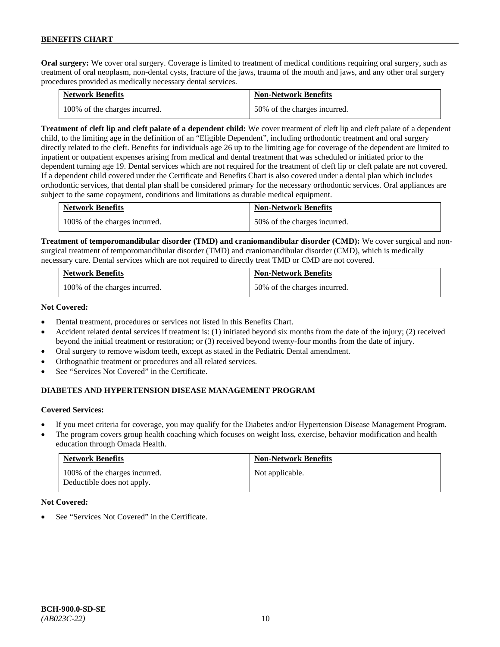**Oral surgery:** We cover oral surgery. Coverage is limited to treatment of medical conditions requiring oral surgery, such as treatment of oral neoplasm, non-dental cysts, fracture of the jaws, trauma of the mouth and jaws, and any other oral surgery procedures provided as medically necessary dental services.

| <b>Network Benefits</b>       | <b>Non-Network Benefits</b>  |
|-------------------------------|------------------------------|
| 100% of the charges incurred. | 50% of the charges incurred. |

**Treatment of cleft lip and cleft palate of a dependent child:** We cover treatment of cleft lip and cleft palate of a dependent child, to the limiting age in the definition of an "Eligible Dependent", including orthodontic treatment and oral surgery directly related to the cleft. Benefits for individuals age 26 up to the limiting age for coverage of the dependent are limited to inpatient or outpatient expenses arising from medical and dental treatment that was scheduled or initiated prior to the dependent turning age 19. Dental services which are not required for the treatment of cleft lip or cleft palate are not covered. If a dependent child covered under the Certificate and Benefits Chart is also covered under a dental plan which includes orthodontic services, that dental plan shall be considered primary for the necessary orthodontic services. Oral appliances are subject to the same copayment, conditions and limitations as durable medical equipment.

| <b>Network Benefits</b>       | <b>Non-Network Benefits</b>  |
|-------------------------------|------------------------------|
| 100% of the charges incurred. | 50% of the charges incurred. |

**Treatment of temporomandibular disorder (TMD) and craniomandibular disorder (CMD):** We cover surgical and nonsurgical treatment of temporomandibular disorder (TMD) and craniomandibular disorder (CMD), which is medically necessary care. Dental services which are not required to directly treat TMD or CMD are not covered.

| <b>Network Benefits</b>       | <b>Non-Network Benefits</b>  |
|-------------------------------|------------------------------|
| 100% of the charges incurred. | 50% of the charges incurred. |

### **Not Covered:**

- Dental treatment, procedures or services not listed in this Benefits Chart.
- Accident related dental services if treatment is: (1) initiated beyond six months from the date of the injury; (2) received beyond the initial treatment or restoration; or (3) received beyond twenty-four months from the date of injury.
- Oral surgery to remove wisdom teeth, except as stated in the Pediatric Dental amendment.
- Orthognathic treatment or procedures and all related services.
- See "Services Not Covered" in the Certificate.

# **DIABETES AND HYPERTENSION DISEASE MANAGEMENT PROGRAM**

### **Covered Services:**

- If you meet criteria for coverage, you may qualify for the Diabetes and/or Hypertension Disease Management Program.
- The program covers group health coaching which focuses on weight loss, exercise, behavior modification and health education through Omada Health.

| <b>Network Benefits</b>                                     | <b>Non-Network Benefits</b> |
|-------------------------------------------------------------|-----------------------------|
| 100% of the charges incurred.<br>Deductible does not apply. | Not applicable.             |

### **Not Covered:**

See "Services Not Covered" in the Certificate.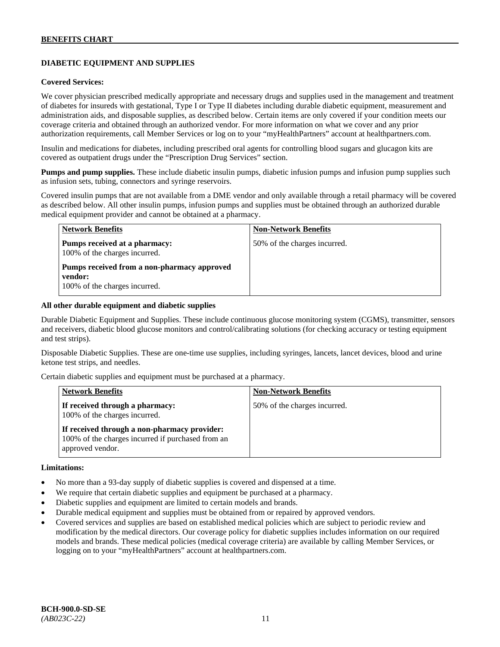# **DIABETIC EQUIPMENT AND SUPPLIES**

#### **Covered Services:**

We cover physician prescribed medically appropriate and necessary drugs and supplies used in the management and treatment of diabetes for insureds with gestational, Type I or Type II diabetes including durable diabetic equipment, measurement and administration aids, and disposable supplies, as described below. Certain items are only covered if your condition meets our coverage criteria and obtained through an authorized vendor. For more information on what we cover and any prior authorization requirements, call Member Services or log on to your "myHealthPartners" account at [healthpartners.com.](http://www.healthpartners.com/)

Insulin and medications for diabetes, including prescribed oral agents for controlling blood sugars and glucagon kits are covered as outpatient drugs under the "Prescription Drug Services" section.

**Pumps and pump supplies.** These include diabetic insulin pumps, diabetic infusion pumps and infusion pump supplies such as infusion sets, tubing, connectors and syringe reservoirs.

Covered insulin pumps that are not available from a DME vendor and only available through a retail pharmacy will be covered as described below. All other insulin pumps, infusion pumps and supplies must be obtained through an authorized durable medical equipment provider and cannot be obtained at a pharmacy.

| <b>Network Benefits</b>                                                                 | <b>Non-Network Benefits</b>  |
|-----------------------------------------------------------------------------------------|------------------------------|
| Pumps received at a pharmacy:<br>100% of the charges incurred.                          | 50% of the charges incurred. |
| Pumps received from a non-pharmacy approved<br>vendor:<br>100% of the charges incurred. |                              |

#### **All other durable equipment and diabetic supplies**

Durable Diabetic Equipment and Supplies. These include continuous glucose monitoring system (CGMS), transmitter, sensors and receivers, diabetic blood glucose monitors and control/calibrating solutions (for checking accuracy or testing equipment and test strips).

Disposable Diabetic Supplies. These are one-time use supplies, including syringes, lancets, lancet devices, blood and urine ketone test strips, and needles.

Certain diabetic supplies and equipment must be purchased at a pharmacy.

| <b>Network Benefits</b>                                                                                               | <b>Non-Network Benefits</b>  |
|-----------------------------------------------------------------------------------------------------------------------|------------------------------|
| If received through a pharmacy:<br>100% of the charges incurred.                                                      | 50% of the charges incurred. |
| If received through a non-pharmacy provider:<br>100% of the charges incurred if purchased from an<br>approved vendor. |                              |

#### **Limitations:**

- No more than a 93-day supply of diabetic supplies is covered and dispensed at a time.
- We require that certain diabetic supplies and equipment be purchased at a pharmacy.
- Diabetic supplies and equipment are limited to certain models and brands.
- Durable medical equipment and supplies must be obtained from or repaired by approved vendors.
- Covered services and supplies are based on established medical policies which are subject to periodic review and modification by the medical directors. Our coverage policy for diabetic supplies includes information on our required models and brands. These medical policies (medical coverage criteria) are available by calling Member Services, or logging on to your "myHealthPartners" account at [healthpartners.com.](http://www.healthpartners.com/)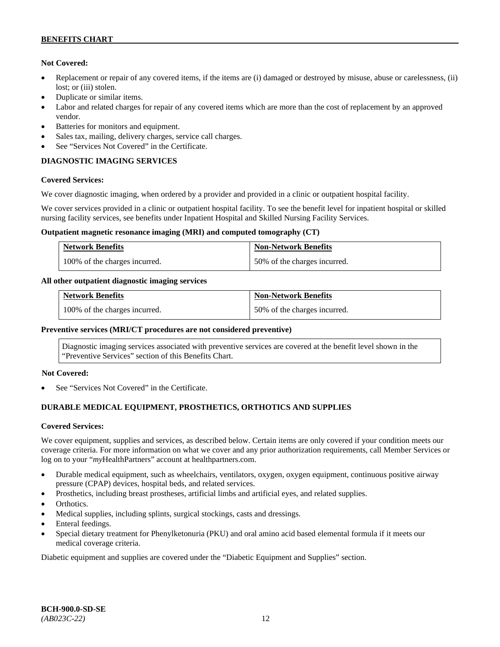### **Not Covered:**

- Replacement or repair of any covered items, if the items are (i) damaged or destroyed by misuse, abuse or carelessness, (ii) lost; or (iii) stolen.
- Duplicate or similar items.
- Labor and related charges for repair of any covered items which are more than the cost of replacement by an approved vendor.
- Batteries for monitors and equipment.
- Sales tax, mailing, delivery charges, service call charges.
- See "Services Not Covered" in the Certificate.

# **DIAGNOSTIC IMAGING SERVICES**

### **Covered Services:**

We cover diagnostic imaging, when ordered by a provider and provided in a clinic or outpatient hospital facility.

We cover services provided in a clinic or outpatient hospital facility. To see the benefit level for inpatient hospital or skilled nursing facility services, see benefits under Inpatient Hospital and Skilled Nursing Facility Services.

### **Outpatient magnetic resonance imaging (MRI) and computed tomography (CT)**

| <b>Network Benefits</b>       | <b>Non-Network Benefits</b>  |
|-------------------------------|------------------------------|
| 100% of the charges incurred. | 50% of the charges incurred. |

### **All other outpatient diagnostic imaging services**

| <b>Network Benefits</b>       | <b>Non-Network Benefits</b>  |
|-------------------------------|------------------------------|
| 100% of the charges incurred. | 50% of the charges incurred. |

### **Preventive services (MRI/CT procedures are not considered preventive)**

Diagnostic imaging services associated with preventive services are covered at the benefit level shown in the "Preventive Services" section of this Benefits Chart.

### **Not Covered:**

See "Services Not Covered" in the Certificate.

### **DURABLE MEDICAL EQUIPMENT, PROSTHETICS, ORTHOTICS AND SUPPLIES**

### **Covered Services:**

We cover equipment, supplies and services, as described below. Certain items are only covered if your condition meets our coverage criteria. For more information on what we cover and any prior authorization requirements, call Member Services or log on to your "*my*HealthPartners" account at [healthpartners.com.](http://healthpartners.com/)

- Durable medical equipment, such as wheelchairs, ventilators, oxygen, oxygen equipment, continuous positive airway pressure (CPAP) devices, hospital beds, and related services.
- Prosthetics, including breast prostheses, artificial limbs and artificial eyes, and related supplies.
- Orthotics.
- Medical supplies, including splints, surgical stockings, casts and dressings.
- Enteral feedings.
- Special dietary treatment for Phenylketonuria (PKU) and oral amino acid based elemental formula if it meets our medical coverage criteria.

Diabetic equipment and supplies are covered under the "Diabetic Equipment and Supplies" section.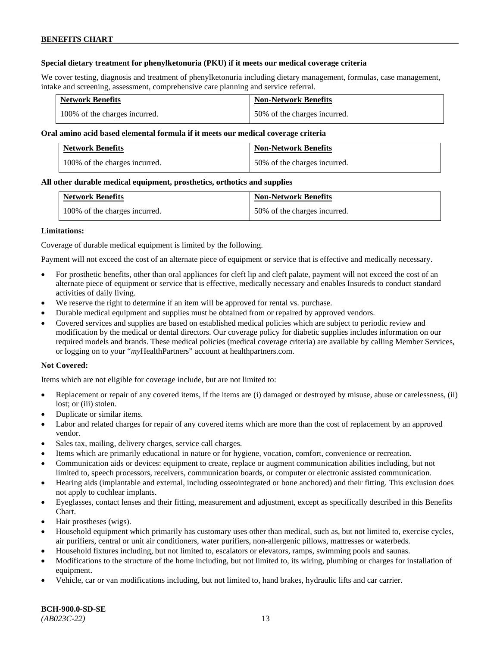### **Special dietary treatment for phenylketonuria (PKU) if it meets our medical coverage criteria**

We cover testing, diagnosis and treatment of phenylketonuria including dietary management, formulas, case management, intake and screening, assessment, comprehensive care planning and service referral.

| <b>Network Benefits</b>       | <b>Non-Network Benefits</b>  |
|-------------------------------|------------------------------|
| 100% of the charges incurred. | 50% of the charges incurred. |

### **Oral amino acid based elemental formula if it meets our medical coverage criteria**

| <b>Network Benefits</b>       | <b>Non-Network Benefits</b>  |
|-------------------------------|------------------------------|
| 100% of the charges incurred. | 50% of the charges incurred. |

### **All other durable medical equipment, prosthetics, orthotics and supplies**

| <b>Network Benefits</b>       | <b>Non-Network Benefits</b>  |
|-------------------------------|------------------------------|
| 100% of the charges incurred. | 50% of the charges incurred. |

### **Limitations:**

Coverage of durable medical equipment is limited by the following.

Payment will not exceed the cost of an alternate piece of equipment or service that is effective and medically necessary.

- For prosthetic benefits, other than oral appliances for cleft lip and cleft palate, payment will not exceed the cost of an alternate piece of equipment or service that is effective, medically necessary and enables Insureds to conduct standard activities of daily living.
- We reserve the right to determine if an item will be approved for rental vs. purchase.
- Durable medical equipment and supplies must be obtained from or repaired by approved vendors.
- Covered services and supplies are based on established medical policies which are subject to periodic review and modification by the medical or dental directors. Our coverage policy for diabetic supplies includes information on our required models and brands. These medical policies (medical coverage criteria) are available by calling Member Services, or logging on to your "*my*HealthPartners" account at [healthpartners.com.](http://www.healthpartners.com/)

### **Not Covered:**

Items which are not eligible for coverage include, but are not limited to:

- Replacement or repair of any covered items, if the items are (i) damaged or destroyed by misuse, abuse or carelessness, (ii) lost; or (iii) stolen.
- Duplicate or similar items.
- Labor and related charges for repair of any covered items which are more than the cost of replacement by an approved vendor.
- Sales tax, mailing, delivery charges, service call charges.
- Items which are primarily educational in nature or for hygiene, vocation, comfort, convenience or recreation.
- Communication aids or devices: equipment to create, replace or augment communication abilities including, but not limited to, speech processors, receivers, communication boards, or computer or electronic assisted communication.
- Hearing aids (implantable and external, including osseointegrated or bone anchored) and their fitting. This exclusion does not apply to cochlear implants.
- Eyeglasses, contact lenses and their fitting, measurement and adjustment, except as specifically described in this Benefits Chart.
- Hair prostheses (wigs).
- Household equipment which primarily has customary uses other than medical, such as, but not limited to, exercise cycles, air purifiers, central or unit air conditioners, water purifiers, non-allergenic pillows, mattresses or waterbeds.
- Household fixtures including, but not limited to, escalators or elevators, ramps, swimming pools and saunas.
- Modifications to the structure of the home including, but not limited to, its wiring, plumbing or charges for installation of equipment.
- Vehicle, car or van modifications including, but not limited to, hand brakes, hydraulic lifts and car carrier.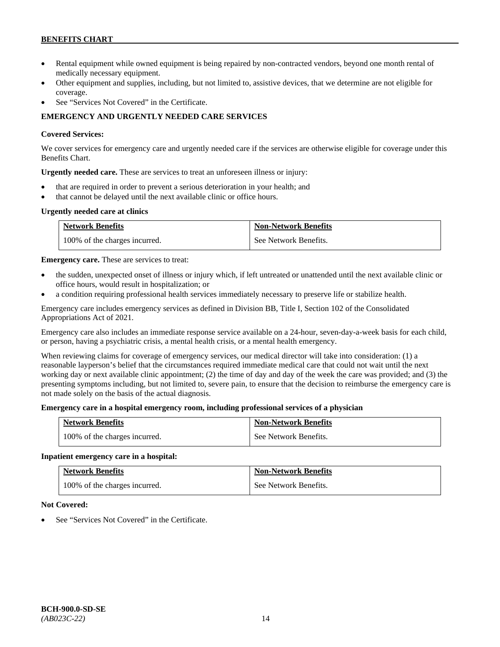- Rental equipment while owned equipment is being repaired by non-contracted vendors, beyond one month rental of medically necessary equipment.
- Other equipment and supplies, including, but not limited to, assistive devices, that we determine are not eligible for coverage.
- See "Services Not Covered" in the Certificate.

# **EMERGENCY AND URGENTLY NEEDED CARE SERVICES**

### **Covered Services:**

We cover services for emergency care and urgently needed care if the services are otherwise eligible for coverage under this Benefits Chart.

**Urgently needed care.** These are services to treat an unforeseen illness or injury:

- that are required in order to prevent a serious deterioration in your health; and
- that cannot be delayed until the next available clinic or office hours.

# **Urgently needed care at clinics**

| <b>Network Benefits</b>       | <b>Non-Network Benefits</b> |
|-------------------------------|-----------------------------|
| 100% of the charges incurred. | See Network Benefits.       |

**Emergency care.** These are services to treat:

- the sudden, unexpected onset of illness or injury which, if left untreated or unattended until the next available clinic or office hours, would result in hospitalization; or
- a condition requiring professional health services immediately necessary to preserve life or stabilize health.

Emergency care includes emergency services as defined in Division BB, Title I, Section 102 of the Consolidated Appropriations Act of 2021.

Emergency care also includes an immediate response service available on a 24-hour, seven-day-a-week basis for each child, or person, having a psychiatric crisis, a mental health crisis, or a mental health emergency.

When reviewing claims for coverage of emergency services, our medical director will take into consideration: (1) a reasonable layperson's belief that the circumstances required immediate medical care that could not wait until the next working day or next available clinic appointment; (2) the time of day and day of the week the care was provided; and (3) the presenting symptoms including, but not limited to, severe pain, to ensure that the decision to reimburse the emergency care is not made solely on the basis of the actual diagnosis.

### **Emergency care in a hospital emergency room, including professional services of a physician**

| <b>Network Benefits</b>       | <b>Non-Network Benefits</b> |
|-------------------------------|-----------------------------|
| 100% of the charges incurred. | See Network Benefits.       |

### **Inpatient emergency care in a hospital:**

| <b>Network Benefits</b>       | <b>Non-Network Benefits</b> |
|-------------------------------|-----------------------------|
| 100% of the charges incurred. | See Network Benefits.       |

### **Not Covered:**

See "Services Not Covered" in the Certificate.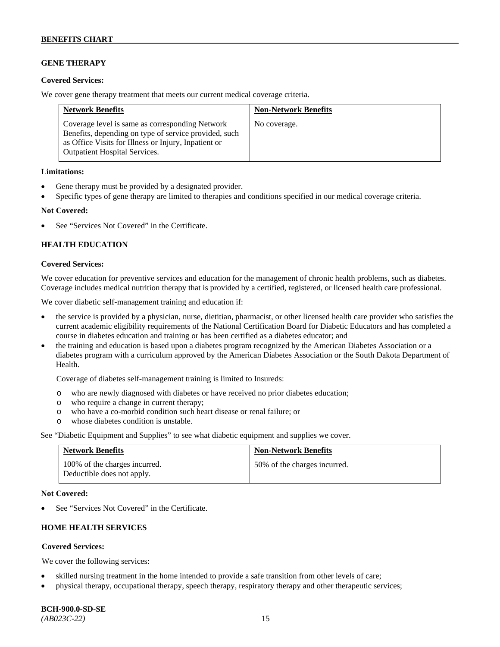# **GENE THERAPY**

### **Covered Services:**

We cover gene therapy treatment that meets our current medical coverage criteria.

| <b>Network Benefits</b>                                                                                                                                                                                  | <b>Non-Network Benefits</b> |
|----------------------------------------------------------------------------------------------------------------------------------------------------------------------------------------------------------|-----------------------------|
| Coverage level is same as corresponding Network<br>Benefits, depending on type of service provided, such<br>as Office Visits for Illness or Injury, Inpatient or<br><b>Outpatient Hospital Services.</b> | No coverage.                |

### **Limitations:**

- Gene therapy must be provided by a designated provider.
- Specific types of gene therapy are limited to therapies and conditions specified in our medical coverage criteria.

### **Not Covered:**

See "Services Not Covered" in the Certificate.

### **HEALTH EDUCATION**

### **Covered Services:**

We cover education for preventive services and education for the management of chronic health problems, such as diabetes. Coverage includes medical nutrition therapy that is provided by a certified, registered, or licensed health care professional.

We cover diabetic self-management training and education if:

- the service is provided by a physician, nurse, dietitian, pharmacist, or other licensed health care provider who satisfies the current academic eligibility requirements of the National Certification Board for Diabetic Educators and has completed a course in diabetes education and training or has been certified as a diabetes educator; and
- the training and education is based upon a diabetes program recognized by the American Diabetes Association or a diabetes program with a curriculum approved by the American Diabetes Association or the South Dakota Department of Health.

Coverage of diabetes self-management training is limited to Insureds:

- o who are newly diagnosed with diabetes or have received no prior diabetes education;
- o who require a change in current therapy;<br>o who have a co-morbid condition such heal
- who have a co-morbid condition such heart disease or renal failure; or
- o whose diabetes condition is unstable.

See "Diabetic Equipment and Supplies" to see what diabetic equipment and supplies we cover.

| <b>Network Benefits</b>                                     | <b>Non-Network Benefits</b>  |
|-------------------------------------------------------------|------------------------------|
| 100% of the charges incurred.<br>Deductible does not apply. | 50% of the charges incurred. |

#### **Not Covered:**

See "Services Not Covered" in the Certificate.

# **HOME HEALTH SERVICES**

### **Covered Services:**

We cover the following services:

- skilled nursing treatment in the home intended to provide a safe transition from other levels of care;
- physical therapy, occupational therapy, speech therapy, respiratory therapy and other therapeutic services;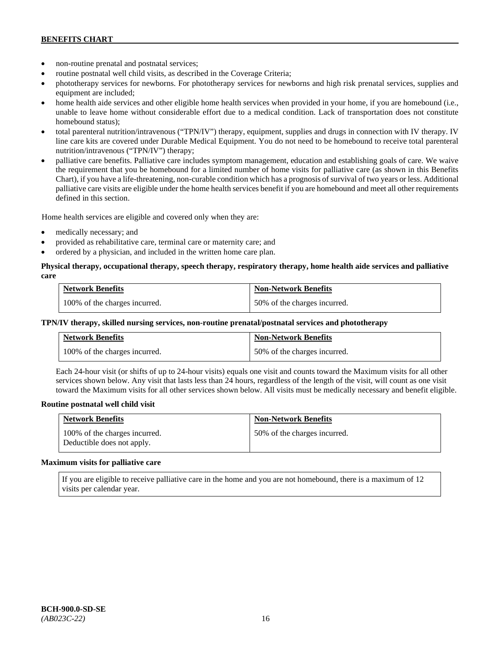- non-routine prenatal and postnatal services;
- routine postnatal well child visits, as described in the Coverage Criteria;
- phototherapy services for newborns. For phototherapy services for newborns and high risk prenatal services, supplies and equipment are included;
- home health aide services and other eligible home health services when provided in your home, if you are homebound (i.e., unable to leave home without considerable effort due to a medical condition. Lack of transportation does not constitute homebound status);
- total parenteral nutrition/intravenous ("TPN/IV") therapy, equipment, supplies and drugs in connection with IV therapy. IV line care kits are covered under Durable Medical Equipment. You do not need to be homebound to receive total parenteral nutrition/intravenous ("TPN/IV") therapy;
- palliative care benefits. Palliative care includes symptom management, education and establishing goals of care. We waive the requirement that you be homebound for a limited number of home visits for palliative care (as shown in this Benefits Chart), if you have a life-threatening, non-curable condition which has a prognosis of survival of two years or less. Additional palliative care visits are eligible under the home health services benefit if you are homebound and meet all other requirements defined in this section.

Home health services are eligible and covered only when they are:

- medically necessary; and
- provided as rehabilitative care, terminal care or maternity care; and
- ordered by a physician, and included in the written home care plan.

### **Physical therapy, occupational therapy, speech therapy, respiratory therapy, home health aide services and palliative care**

| <b>Network Benefits</b>       | <b>Non-Network Benefits</b>  |
|-------------------------------|------------------------------|
| 100% of the charges incurred. | 50% of the charges incurred. |

### **TPN/IV therapy, skilled nursing services, non-routine prenatal/postnatal services and phototherapy**

| Network Benefits              | <b>Non-Network Benefits</b>  |
|-------------------------------|------------------------------|
| 100% of the charges incurred. | 50% of the charges incurred. |

Each 24-hour visit (or shifts of up to 24-hour visits) equals one visit and counts toward the Maximum visits for all other services shown below. Any visit that lasts less than 24 hours, regardless of the length of the visit, will count as one visit toward the Maximum visits for all other services shown below. All visits must be medically necessary and benefit eligible.

#### **Routine postnatal well child visit**

| <b>Network Benefits</b>                                     | <b>Non-Network Benefits</b>  |
|-------------------------------------------------------------|------------------------------|
| 100% of the charges incurred.<br>Deductible does not apply. | 50% of the charges incurred. |

#### **Maximum visits for palliative care**

If you are eligible to receive palliative care in the home and you are not homebound, there is a maximum of 12 visits per calendar year.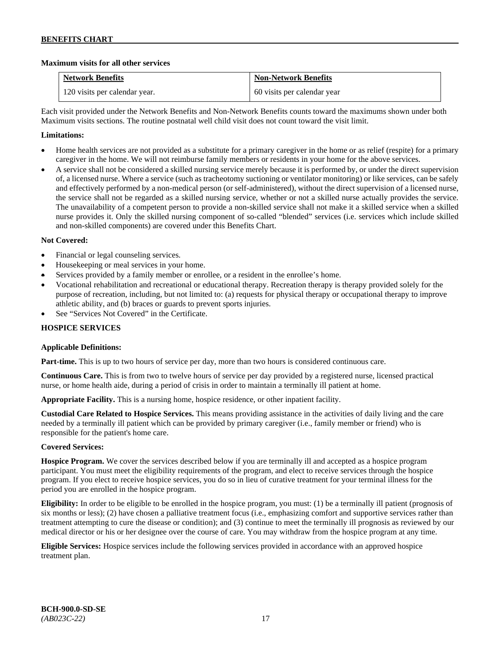### **Maximum visits for all other services**

| <b>Network Benefits</b>       | <b>Non-Network Benefits</b> |
|-------------------------------|-----------------------------|
| 120 visits per calendar year. | 60 visits per calendar year |

Each visit provided under the Network Benefits and Non-Network Benefits counts toward the maximums shown under both Maximum visits sections. The routine postnatal well child visit does not count toward the visit limit.

### **Limitations:**

- Home health services are not provided as a substitute for a primary caregiver in the home or as relief (respite) for a primary caregiver in the home. We will not reimburse family members or residents in your home for the above services.
- A service shall not be considered a skilled nursing service merely because it is performed by, or under the direct supervision of, a licensed nurse. Where a service (such as tracheotomy suctioning or ventilator monitoring) or like services, can be safely and effectively performed by a non-medical person (or self-administered), without the direct supervision of a licensed nurse, the service shall not be regarded as a skilled nursing service, whether or not a skilled nurse actually provides the service. The unavailability of a competent person to provide a non-skilled service shall not make it a skilled service when a skilled nurse provides it. Only the skilled nursing component of so-called "blended" services (i.e. services which include skilled and non-skilled components) are covered under this Benefits Chart.

### **Not Covered:**

- Financial or legal counseling services.
- Housekeeping or meal services in your home.
- Services provided by a family member or enrollee, or a resident in the enrollee's home.
- Vocational rehabilitation and recreational or educational therapy. Recreation therapy is therapy provided solely for the purpose of recreation, including, but not limited to: (a) requests for physical therapy or occupational therapy to improve athletic ability, and (b) braces or guards to prevent sports injuries.
- See "Services Not Covered" in the Certificate.

### **HOSPICE SERVICES**

### **Applicable Definitions:**

**Part-time.** This is up to two hours of service per day, more than two hours is considered continuous care.

**Continuous Care.** This is from two to twelve hours of service per day provided by a registered nurse, licensed practical nurse, or home health aide, during a period of crisis in order to maintain a terminally ill patient at home.

**Appropriate Facility.** This is a nursing home, hospice residence, or other inpatient facility.

**Custodial Care Related to Hospice Services.** This means providing assistance in the activities of daily living and the care needed by a terminally ill patient which can be provided by primary caregiver (i.e., family member or friend) who is responsible for the patient's home care.

### **Covered Services:**

**Hospice Program.** We cover the services described below if you are terminally ill and accepted as a hospice program participant. You must meet the eligibility requirements of the program, and elect to receive services through the hospice program. If you elect to receive hospice services, you do so in lieu of curative treatment for your terminal illness for the period you are enrolled in the hospice program.

**Eligibility:** In order to be eligible to be enrolled in the hospice program, you must: (1) be a terminally ill patient (prognosis of six months or less); (2) have chosen a palliative treatment focus (i.e., emphasizing comfort and supportive services rather than treatment attempting to cure the disease or condition); and (3) continue to meet the terminally ill prognosis as reviewed by our medical director or his or her designee over the course of care. You may withdraw from the hospice program at any time.

**Eligible Services:** Hospice services include the following services provided in accordance with an approved hospice treatment plan.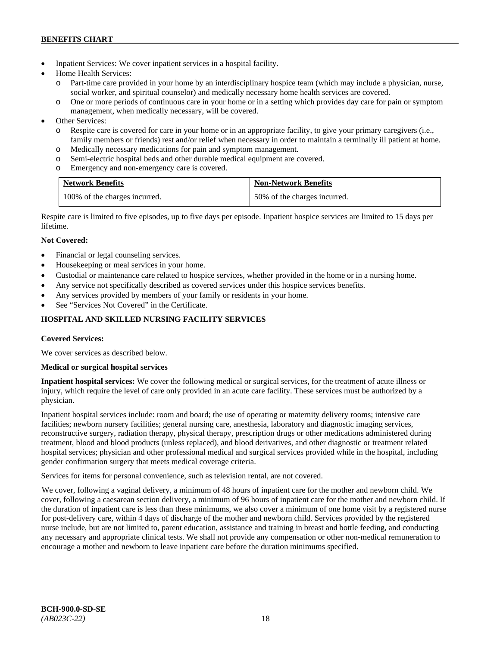- Inpatient Services: We cover inpatient services in a hospital facility.
- Home Health Services:
	- Part-time care provided in your home by an interdisciplinary hospice team (which may include a physician, nurse, social worker, and spiritual counselor) and medically necessary home health services are covered.
	- o One or more periods of continuous care in your home or in a setting which provides day care for pain or symptom management, when medically necessary, will be covered.
- Other Services:
	- o Respite care is covered for care in your home or in an appropriate facility, to give your primary caregivers (i.e., family members or friends) rest and/or relief when necessary in order to maintain a terminally ill patient at home*.*
	- o Medically necessary medications for pain and symptom management.
	- o Semi-electric hospital beds and other durable medical equipment are covered.
	- o Emergency and non-emergency care is covered.

| <b>Network Benefits</b>       | <b>Non-Network Benefits</b>  |
|-------------------------------|------------------------------|
| 100% of the charges incurred. | 50% of the charges incurred. |

Respite care is limited to five episodes, up to five days per episode. Inpatient hospice services are limited to 15 days per lifetime.

# **Not Covered:**

- Financial or legal counseling services.
- Housekeeping or meal services in your home.
- Custodial or maintenance care related to hospice services, whether provided in the home or in a nursing home.
- Any service not specifically described as covered services under this hospice services benefits.
- Any services provided by members of your family or residents in your home.
- See "Services Not Covered" in the Certificate.

# **HOSPITAL AND SKILLED NURSING FACILITY SERVICES**

### **Covered Services:**

We cover services as described below.

### **Medical or surgical hospital services**

**Inpatient hospital services:** We cover the following medical or surgical services, for the treatment of acute illness or injury, which require the level of care only provided in an acute care facility. These services must be authorized by a physician.

Inpatient hospital services include: room and board; the use of operating or maternity delivery rooms; intensive care facilities; newborn nursery facilities; general nursing care, anesthesia, laboratory and diagnostic imaging services, reconstructive surgery, radiation therapy, physical therapy, prescription drugs or other medications administered during treatment, blood and blood products (unless replaced), and blood derivatives, and other diagnostic or treatment related hospital services; physician and other professional medical and surgical services provided while in the hospital, including gender confirmation surgery that meets medical coverage criteria.

Services for items for personal convenience, such as television rental, are not covered.

We cover, following a vaginal delivery, a minimum of 48 hours of inpatient care for the mother and newborn child. We cover, following a caesarean section delivery, a minimum of 96 hours of inpatient care for the mother and newborn child. If the duration of inpatient care is less than these minimums, we also cover a minimum of one home visit by a registered nurse for post-delivery care, within 4 days of discharge of the mother and newborn child. Services provided by the registered nurse include, but are not limited to, parent education, assistance and training in breast and bottle feeding, and conducting any necessary and appropriate clinical tests. We shall not provide any compensation or other non-medical remuneration to encourage a mother and newborn to leave inpatient care before the duration minimums specified.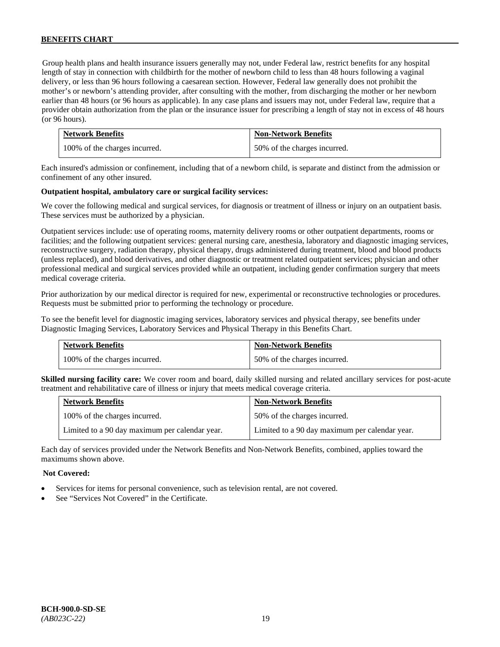Group health plans and health insurance issuers generally may not, under Federal law, restrict benefits for any hospital length of stay in connection with childbirth for the mother of newborn child to less than 48 hours following a vaginal delivery, or less than 96 hours following a caesarean section. However, Federal law generally does not prohibit the mother's or newborn's attending provider, after consulting with the mother, from discharging the mother or her newborn earlier than 48 hours (or 96 hours as applicable). In any case plans and issuers may not, under Federal law, require that a provider obtain authorization from the plan or the insurance issuer for prescribing a length of stay not in excess of 48 hours (or 96 hours).

| <b>Network Benefits</b>       | <b>Non-Network Benefits</b>  |
|-------------------------------|------------------------------|
| 100% of the charges incurred. | 50% of the charges incurred. |

Each insured's admission or confinement, including that of a newborn child, is separate and distinct from the admission or confinement of any other insured.

### **Outpatient hospital, ambulatory care or surgical facility services:**

We cover the following medical and surgical services, for diagnosis or treatment of illness or injury on an outpatient basis. These services must be authorized by a physician.

Outpatient services include: use of operating rooms, maternity delivery rooms or other outpatient departments, rooms or facilities; and the following outpatient services: general nursing care, anesthesia, laboratory and diagnostic imaging services, reconstructive surgery, radiation therapy, physical therapy, drugs administered during treatment, blood and blood products (unless replaced), and blood derivatives, and other diagnostic or treatment related outpatient services; physician and other professional medical and surgical services provided while an outpatient, including gender confirmation surgery that meets medical coverage criteria.

Prior authorization by our medical director is required for new, experimental or reconstructive technologies or procedures. Requests must be submitted prior to performing the technology or procedure.

To see the benefit level for diagnostic imaging services, laboratory services and physical therapy, see benefits under Diagnostic Imaging Services, Laboratory Services and Physical Therapy in this Benefits Chart.

| <b>Network Benefits</b>       | <b>Non-Network Benefits</b>  |
|-------------------------------|------------------------------|
| 100% of the charges incurred. | 50% of the charges incurred. |

**Skilled nursing facility care:** We cover room and board, daily skilled nursing and related ancillary services for post-acute treatment and rehabilitative care of illness or injury that meets medical coverage criteria.

| <b>Network Benefits</b>                        | <b>Non-Network Benefits</b>                    |
|------------------------------------------------|------------------------------------------------|
| 100% of the charges incurred.                  | 50% of the charges incurred.                   |
| Limited to a 90 day maximum per calendar year. | Limited to a 90 day maximum per calendar year. |

Each day of services provided under the Network Benefits and Non-Network Benefits, combined, applies toward the maximums shown above.

#### **Not Covered:**

- Services for items for personal convenience, such as television rental, are not covered.
- See "Services Not Covered" in the Certificate.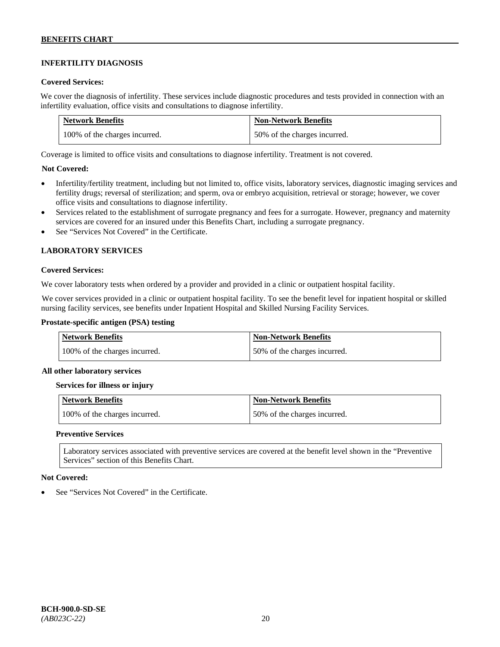# **INFERTILITY DIAGNOSIS**

### **Covered Services:**

We cover the diagnosis of infertility. These services include diagnostic procedures and tests provided in connection with an infertility evaluation, office visits and consultations to diagnose infertility.

| <b>Network Benefits</b>       | <b>Non-Network Benefits</b>  |
|-------------------------------|------------------------------|
| 100% of the charges incurred. | 50% of the charges incurred. |

Coverage is limited to office visits and consultations to diagnose infertility. Treatment is not covered.

### **Not Covered:**

- Infertility/fertility treatment, including but not limited to, office visits, laboratory services, diagnostic imaging services and fertility drugs; reversal of sterilization; and sperm, ova or embryo acquisition, retrieval or storage; however, we cover office visits and consultations to diagnose infertility.
- Services related to the establishment of surrogate pregnancy and fees for a surrogate. However, pregnancy and maternity services are covered for an insured under this Benefits Chart, including a surrogate pregnancy.
- See "Services Not Covered" in the Certificate.

### **LABORATORY SERVICES**

#### **Covered Services:**

We cover laboratory tests when ordered by a provider and provided in a clinic or outpatient hospital facility.

We cover services provided in a clinic or outpatient hospital facility. To see the benefit level for inpatient hospital or skilled nursing facility services, see benefits under Inpatient Hospital and Skilled Nursing Facility Services.

#### **Prostate-specific antigen (PSA) testing**

| <b>Network Benefits</b>       | <b>Non-Network Benefits</b>  |
|-------------------------------|------------------------------|
| 100% of the charges incurred. | 50% of the charges incurred. |

#### **All other laboratory services**

#### **Services for illness or injury**

| Network Benefits              | <b>Non-Network Benefits</b>  |
|-------------------------------|------------------------------|
| 100% of the charges incurred. | 50% of the charges incurred. |

#### **Preventive Services**

Laboratory services associated with preventive services are covered at the benefit level shown in the "Preventive Services" section of this Benefits Chart.

#### **Not Covered:**

See "Services Not Covered" in the Certificate.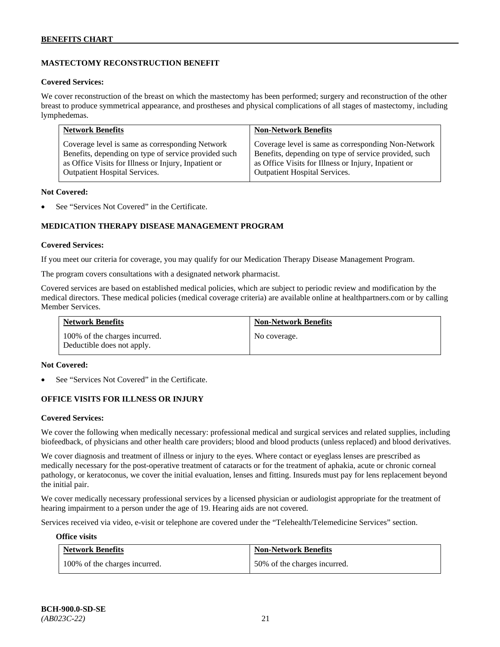# **MASTECTOMY RECONSTRUCTION BENEFIT**

#### **Covered Services:**

We cover reconstruction of the breast on which the mastectomy has been performed; surgery and reconstruction of the other breast to produce symmetrical appearance, and prostheses and physical complications of all stages of mastectomy, including lymphedemas.

| <b>Network Benefits</b>                              | <b>Non-Network Benefits</b>                           |
|------------------------------------------------------|-------------------------------------------------------|
| Coverage level is same as corresponding Network      | Coverage level is same as corresponding Non-Network   |
| Benefits, depending on type of service provided such | Benefits, depending on type of service provided, such |
| as Office Visits for Illness or Injury, Inpatient or | as Office Visits for Illness or Injury, Inpatient or  |
| Outpatient Hospital Services.                        | <b>Outpatient Hospital Services.</b>                  |

#### **Not Covered:**

See "Services Not Covered" in the Certificate.

### **MEDICATION THERAPY DISEASE MANAGEMENT PROGRAM**

### **Covered Services:**

If you meet our criteria for coverage, you may qualify for our Medication Therapy Disease Management Program.

The program covers consultations with a designated network pharmacist.

Covered services are based on established medical policies, which are subject to periodic review and modification by the medical directors. These medical policies (medical coverage criteria) are available online at [healthpartners.com](http://www.healthpartners.com/) or by calling Member Services.

| <b>Network Benefits</b>                                     | <b>Non-Network Benefits</b> |
|-------------------------------------------------------------|-----------------------------|
| 100% of the charges incurred.<br>Deductible does not apply. | No coverage.                |

#### **Not Covered:**

See "Services Not Covered" in the Certificate.

### **OFFICE VISITS FOR ILLNESS OR INJURY**

#### **Covered Services:**

We cover the following when medically necessary: professional medical and surgical services and related supplies, including biofeedback, of physicians and other health care providers; blood and blood products (unless replaced) and blood derivatives.

We cover diagnosis and treatment of illness or injury to the eyes. Where contact or eyeglass lenses are prescribed as medically necessary for the post-operative treatment of cataracts or for the treatment of aphakia, acute or chronic corneal pathology, or keratoconus, we cover the initial evaluation, lenses and fitting. Insureds must pay for lens replacement beyond the initial pair.

We cover medically necessary professional services by a licensed physician or audiologist appropriate for the treatment of hearing impairment to a person under the age of 19. Hearing aids are not covered.

Services received via video, e-visit or telephone are covered under the "Telehealth/Telemedicine Services" section.

#### **Office visits**

| <b>Network Benefits</b>       | <b>Non-Network Benefits</b>  |
|-------------------------------|------------------------------|
| 100% of the charges incurred. | 50% of the charges incurred. |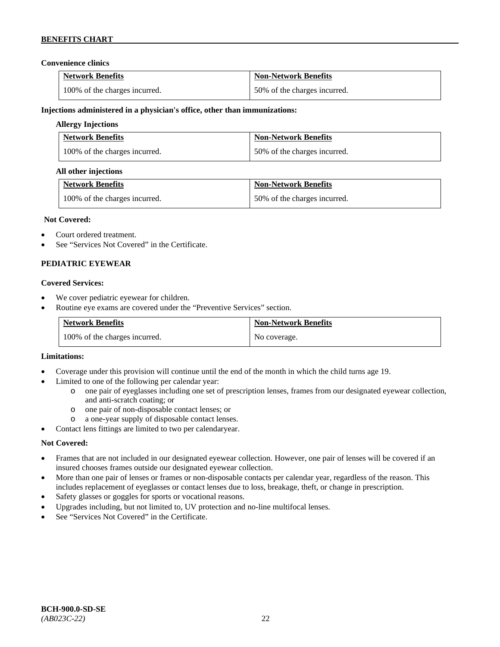### **Convenience clinics**

| <b>Network Benefits</b>       | <b>Non-Network Benefits</b>  |
|-------------------------------|------------------------------|
| 100% of the charges incurred. | 50% of the charges incurred. |

### **Injections administered in a physician's office, other than immunizations:**

### **Allergy Injections**

| <b>Network Benefits</b>       | <b>Non-Network Benefits</b>  |
|-------------------------------|------------------------------|
| 100% of the charges incurred. | 50% of the charges incurred. |

### **All other injections**

| <b>Network Benefits</b>       | <b>Non-Network Benefits</b>  |
|-------------------------------|------------------------------|
| 100% of the charges incurred. | 50% of the charges incurred. |

### **Not Covered:**

- Court ordered treatment.
- See "Services Not Covered" in the Certificate.

### **PEDIATRIC EYEWEAR**

### **Covered Services:**

- We cover pediatric eyewear for children.
- Routine eye exams are covered under the "Preventive Services" section.

| <b>Network Benefits</b>       | <b>Non-Network Benefits</b> |
|-------------------------------|-----------------------------|
| 100% of the charges incurred. | No coverage.                |

#### **Limitations:**

- Coverage under this provision will continue until the end of the month in which the child turns age 19.
- Limited to one of the following per calendar year:
	- o one pair of eyeglasses including one set of prescription lenses, frames from our designated eyewear collection, and anti-scratch coating; or
	- o one pair of non-disposable contact lenses; or
	- a one-year supply of disposable contact lenses.
- Contact lens fittings are limited to two per calendaryear.

### **Not Covered:**

- Frames that are not included in our designated eyewear collection. However, one pair of lenses will be covered if an insured chooses frames outside our designated eyewear collection.
- More than one pair of lenses or frames or non-disposable contacts per calendar year, regardless of the reason. This includes replacement of eyeglasses or contact lenses due to loss, breakage, theft, or change in prescription.
- Safety glasses or goggles for sports or vocational reasons.
- Upgrades including, but not limited to, UV protection and no-line multifocal lenses.
- See "Services Not Covered" in the Certificate.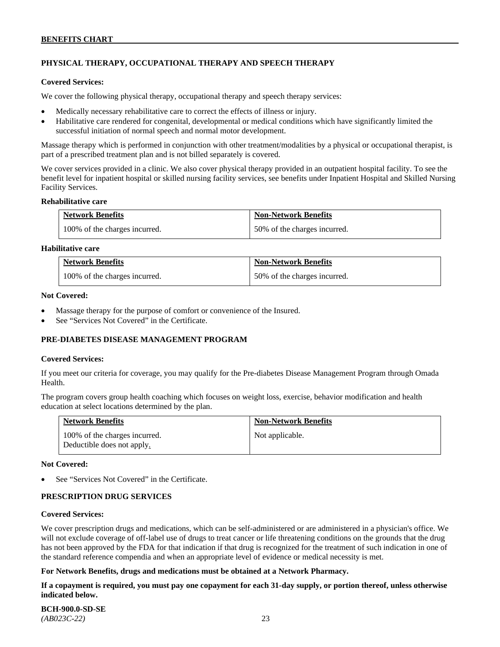# **PHYSICAL THERAPY, OCCUPATIONAL THERAPY AND SPEECH THERAPY**

#### **Covered Services:**

We cover the following physical therapy, occupational therapy and speech therapy services:

- Medically necessary rehabilitative care to correct the effects of illness or injury.
- Habilitative care rendered for congenital, developmental or medical conditions which have significantly limited the successful initiation of normal speech and normal motor development.

Massage therapy which is performed in conjunction with other treatment/modalities by a physical or occupational therapist, is part of a prescribed treatment plan and is not billed separately is covered.

We cover services provided in a clinic. We also cover physical therapy provided in an outpatient hospital facility. To see the benefit level for inpatient hospital or skilled nursing facility services, see benefits under Inpatient Hospital and Skilled Nursing Facility Services.

#### **Rehabilitative care**

| <b>Network Benefits</b>       | <b>Non-Network Benefits</b>  |
|-------------------------------|------------------------------|
| 100% of the charges incurred. | 50% of the charges incurred. |

### **Habilitative care**

| <b>Network Benefits</b>       | <b>Non-Network Benefits</b>  |
|-------------------------------|------------------------------|
| 100% of the charges incurred. | 50% of the charges incurred. |

#### **Not Covered:**

- Massage therapy for the purpose of comfort or convenience of the Insured.
- See "Services Not Covered" in the Certificate.

### **PRE-DIABETES DISEASE MANAGEMENT PROGRAM**

#### **Covered Services:**

If you meet our criteria for coverage, you may qualify for the Pre-diabetes Disease Management Program through Omada Health.

The program covers group health coaching which focuses on weight loss, exercise, behavior modification and health education at select locations determined by the plan.

| <b>Network Benefits</b>                                     | <b>Non-Network Benefits</b> |
|-------------------------------------------------------------|-----------------------------|
| 100% of the charges incurred.<br>Deductible does not apply. | Not applicable.             |

#### **Not Covered:**

See "Services Not Covered" in the Certificate.

### **PRESCRIPTION DRUG SERVICES**

#### **Covered Services:**

We cover prescription drugs and medications, which can be self-administered or are administered in a physician's office. We will not exclude coverage of off-label use of drugs to treat cancer or life threatening conditions on the grounds that the drug has not been approved by the FDA for that indication if that drug is recognized for the treatment of such indication in one of the standard reference compendia and when an appropriate level of evidence or medical necessity is met.

#### **For Network Benefits, drugs and medications must be obtained at a Network Pharmacy.**

**If a copayment is required, you must pay one copayment for each 31-day supply, or portion thereof, unless otherwise indicated below.**

**BCH-900.0-SD-SE**  *(AB023C-22)* 23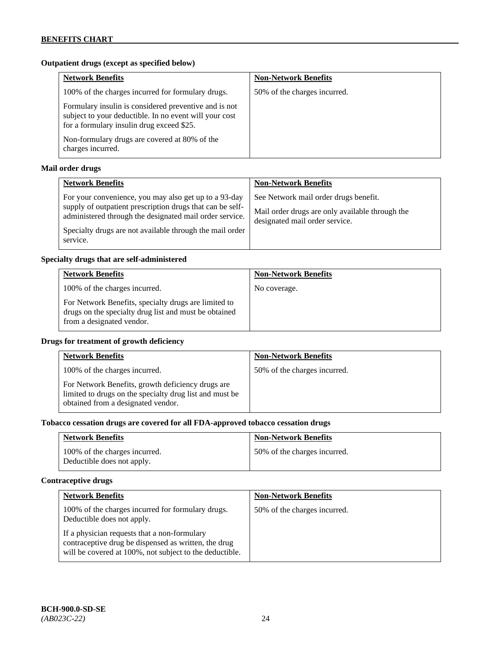# **Outpatient drugs (except as specified below)**

| <b>Network Benefits</b>                                                                                                                                      | <b>Non-Network Benefits</b>  |
|--------------------------------------------------------------------------------------------------------------------------------------------------------------|------------------------------|
| 100% of the charges incurred for formulary drugs.                                                                                                            | 50% of the charges incurred. |
| Formulary insulin is considered preventive and is not<br>subject to your deductible. In no event will your cost<br>for a formulary insulin drug exceed \$25. |                              |
| Non-formulary drugs are covered at 80% of the<br>charges incurred.                                                                                           |                              |

# **Mail order drugs**

| <b>Network Benefits</b>                                                                                                                                                                                                                               | <b>Non-Network Benefits</b>                                                                                                |
|-------------------------------------------------------------------------------------------------------------------------------------------------------------------------------------------------------------------------------------------------------|----------------------------------------------------------------------------------------------------------------------------|
| For your convenience, you may also get up to a 93-day<br>supply of outpatient prescription drugs that can be self-<br>administered through the designated mail order service.<br>Specialty drugs are not available through the mail order<br>service. | See Network mail order drugs benefit.<br>Mail order drugs are only available through the<br>designated mail order service. |

### **Specialty drugs that are self-administered**

| <b>Network Benefits</b>                                                                                                                    | <b>Non-Network Benefits</b> |
|--------------------------------------------------------------------------------------------------------------------------------------------|-----------------------------|
| 100% of the charges incurred.                                                                                                              | No coverage.                |
| For Network Benefits, specialty drugs are limited to<br>drugs on the specialty drug list and must be obtained<br>from a designated vendor. |                             |

# **Drugs for treatment of growth deficiency**

| <b>Network Benefits</b>                                                                                                                            | <b>Non-Network Benefits</b>  |
|----------------------------------------------------------------------------------------------------------------------------------------------------|------------------------------|
| 100% of the charges incurred.                                                                                                                      | 50% of the charges incurred. |
| For Network Benefits, growth deficiency drugs are<br>limited to drugs on the specialty drug list and must be<br>obtained from a designated vendor. |                              |

# **Tobacco cessation drugs are covered for all FDA-approved tobacco cessation drugs**

| <b>Network Benefits</b>                                     | <b>Non-Network Benefits</b>  |
|-------------------------------------------------------------|------------------------------|
| 100% of the charges incurred.<br>Deductible does not apply. | 50% of the charges incurred. |

# **Contraceptive drugs**

| <b>Network Benefits</b>                                                                                                                                         | <b>Non-Network Benefits</b>  |
|-----------------------------------------------------------------------------------------------------------------------------------------------------------------|------------------------------|
| 100% of the charges incurred for formulary drugs.<br>Deductible does not apply.                                                                                 | 50% of the charges incurred. |
| If a physician requests that a non-formulary<br>contraceptive drug be dispensed as written, the drug<br>will be covered at 100%, not subject to the deductible. |                              |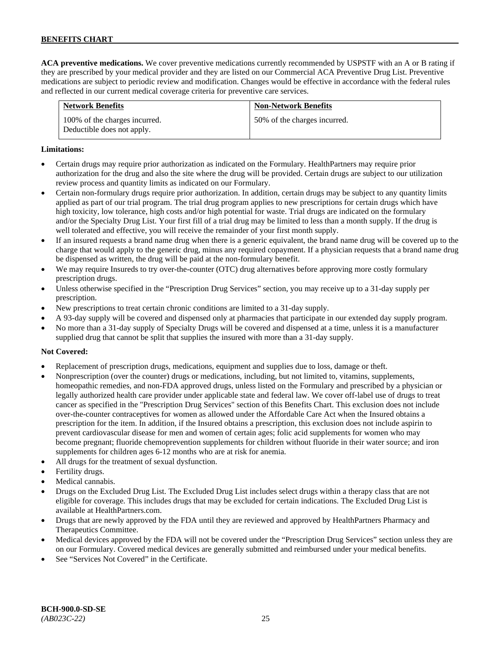**ACA preventive medications.** We cover preventive medications currently recommended by USPSTF with an A or B rating if they are prescribed by your medical provider and they are listed on our Commercial ACA Preventive Drug List. Preventive medications are subject to periodic review and modification. Changes would be effective in accordance with the federal rules and reflected in our current medical coverage criteria for preventive care services.

| <b>Network Benefits</b>                                     | <b>Non-Network Benefits</b>  |
|-------------------------------------------------------------|------------------------------|
| 100% of the charges incurred.<br>Deductible does not apply. | 50% of the charges incurred. |

### **Limitations:**

- Certain drugs may require prior authorization as indicated on the Formulary. HealthPartners may require prior authorization for the drug and also the site where the drug will be provided. Certain drugs are subject to our utilization review process and quantity limits as indicated on our Formulary.
- Certain non-formulary drugs require prior authorization. In addition, certain drugs may be subject to any quantity limits applied as part of our trial program. The trial drug program applies to new prescriptions for certain drugs which have high toxicity, low tolerance, high costs and/or high potential for waste. Trial drugs are indicated on the formulary and/or the Specialty Drug List. Your first fill of a trial drug may be limited to less than a month supply. If the drug is well tolerated and effective, you will receive the remainder of your first month supply.
- If an insured requests a brand name drug when there is a generic equivalent, the brand name drug will be covered up to the charge that would apply to the generic drug, minus any required copayment. If a physician requests that a brand name drug be dispensed as written, the drug will be paid at the non-formulary benefit.
- We may require Insureds to try over-the-counter (OTC) drug alternatives before approving more costly formulary prescription drugs.
- Unless otherwise specified in the "Prescription Drug Services" section, you may receive up to a 31-day supply per prescription.
- New prescriptions to treat certain chronic conditions are limited to a 31-day supply.
- A 93-day supply will be covered and dispensed only at pharmacies that participate in our extended day supply program.
- No more than a 31-day supply of Specialty Drugs will be covered and dispensed at a time, unless it is a manufacturer supplied drug that cannot be split that supplies the insured with more than a 31-day supply.

### **Not Covered:**

- Replacement of prescription drugs, medications, equipment and supplies due to loss, damage or theft.
- Nonprescription (over the counter) drugs or medications, including, but not limited to, vitamins, supplements, homeopathic remedies, and non-FDA approved drugs, unless listed on the Formulary and prescribed by a physician or legally authorized health care provider under applicable state and federal law. We cover off-label use of drugs to treat cancer as specified in the "Prescription Drug Services" section of this Benefits Chart. This exclusion does not include over-the-counter contraceptives for women as allowed under the Affordable Care Act when the Insured obtains a prescription for the item. In addition, if the Insured obtains a prescription, this exclusion does not include aspirin to prevent cardiovascular disease for men and women of certain ages; folic acid supplements for women who may become pregnant; fluoride chemoprevention supplements for children without fluoride in their water source; and iron supplements for children ages 6-12 months who are at risk for anemia.
- All drugs for the treatment of sexual dysfunction.
- Fertility drugs.
- Medical cannabis.
- Drugs on the Excluded Drug List. The Excluded Drug List includes select drugs within a therapy class that are not eligible for coverage. This includes drugs that may be excluded for certain indications. The Excluded Drug List is available a[t HealthPartners.com.](http://www.healthpartners.com/)
- Drugs that are newly approved by the FDA until they are reviewed and approved by HealthPartners Pharmacy and Therapeutics Committee.
- Medical devices approved by the FDA will not be covered under the "Prescription Drug Services" section unless they are on our Formulary. Covered medical devices are generally submitted and reimbursed under your medical benefits.
- See "Services Not Covered" in the Certificate.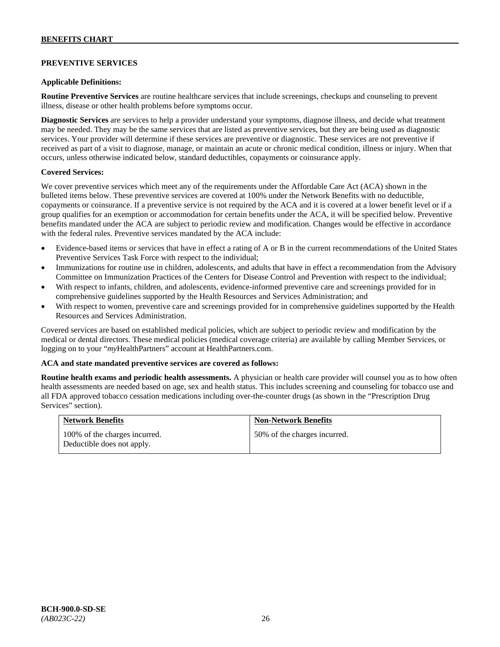### **PREVENTIVE SERVICES**

### **Applicable Definitions:**

**Routine Preventive Services** are routine healthcare services that include screenings, checkups and counseling to prevent illness, disease or other health problems before symptoms occur.

**Diagnostic Services** are services to help a provider understand your symptoms, diagnose illness, and decide what treatment may be needed. They may be the same services that are listed as preventive services, but they are being used as diagnostic services. Your provider will determine if these services are preventive or diagnostic. These services are not preventive if received as part of a visit to diagnose, manage, or maintain an acute or chronic medical condition, illness or injury. When that occurs, unless otherwise indicated below, standard deductibles, copayments or coinsurance apply.

### **Covered Services:**

We cover preventive services which meet any of the requirements under the Affordable Care Act (ACA) shown in the bulleted items below. These preventive services are covered at 100% under the Network Benefits with no deductible, copayments or coinsurance. If a preventive service is not required by the ACA and it is covered at a lower benefit level or if a group qualifies for an exemption or accommodation for certain benefits under the ACA, it will be specified below. Preventive benefits mandated under the ACA are subject to periodic review and modification. Changes would be effective in accordance with the federal rules. Preventive services mandated by the ACA include:

- Evidence-based items or services that have in effect a rating of A or B in the current recommendations of the United States Preventive Services Task Force with respect to the individual;
- Immunizations for routine use in children, adolescents, and adults that have in effect a recommendation from the Advisory Committee on Immunization Practices of the Centers for Disease Control and Prevention with respect to the individual;
- With respect to infants, children, and adolescents, evidence-informed preventive care and screenings provided for in comprehensive guidelines supported by the Health Resources and Services Administration; and
- With respect to women, preventive care and screenings provided for in comprehensive guidelines supported by the Health Resources and Services Administration.

Covered services are based on established medical policies, which are subject to periodic review and modification by the medical or dental directors. These medical policies (medical coverage criteria) are available by calling Member Services, or logging on to your "*my*HealthPartners" account at [HealthPartners.com.](http://www.healthpartners.com/)

#### **ACA and state mandated preventive services are covered as follows:**

**Routine health exams and periodic health assessments.** A physician or health care provider will counsel you as to how often health assessments are needed based on age, sex and health status. This includes screening and counseling for tobacco use and all FDA approved tobacco cessation medications including over-the-counter drugs (as shown in the "Prescription Drug Services" section).

| <b>Network Benefits</b>                                     | <b>Non-Network Benefits</b>  |
|-------------------------------------------------------------|------------------------------|
| 100% of the charges incurred.<br>Deductible does not apply. | 50% of the charges incurred. |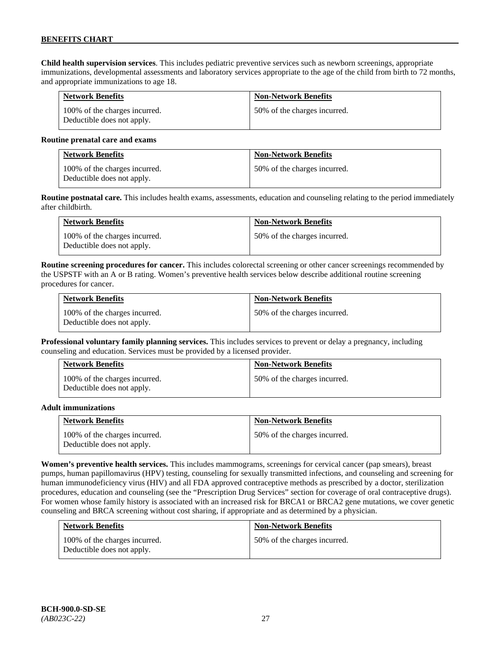**Child health supervision services**. This includes pediatric preventive services such as newborn screenings, appropriate immunizations, developmental assessments and laboratory services appropriate to the age of the child from birth to 72 months, and appropriate immunizations to age 18.

| <b>Network Benefits</b>                                     | <b>Non-Network Benefits</b>  |
|-------------------------------------------------------------|------------------------------|
| 100% of the charges incurred.<br>Deductible does not apply. | 50% of the charges incurred. |

#### **Routine prenatal care and exams**

| <b>Network Benefits</b>                                     | <b>Non-Network Benefits</b>  |
|-------------------------------------------------------------|------------------------------|
| 100% of the charges incurred.<br>Deductible does not apply. | 50% of the charges incurred. |

**Routine postnatal care.** This includes health exams, assessments, education and counseling relating to the period immediately after childbirth.

| <b>Network Benefits</b>                                     | <b>Non-Network Benefits</b>  |
|-------------------------------------------------------------|------------------------------|
| 100% of the charges incurred.<br>Deductible does not apply. | 50% of the charges incurred. |

**Routine screening procedures for cancer.** This includes colorectal screening or other cancer screenings recommended by the USPSTF with an A or B rating. Women's preventive health services below describe additional routine screening procedures for cancer.

| <b>Network Benefits</b>                                     | <b>Non-Network Benefits</b>  |
|-------------------------------------------------------------|------------------------------|
| 100% of the charges incurred.<br>Deductible does not apply. | 50% of the charges incurred. |

**Professional voluntary family planning services.** This includes services to prevent or delay a pregnancy, including counseling and education. Services must be provided by a licensed provider.

| <b>Network Benefits</b>                                     | <b>Non-Network Benefits</b>  |
|-------------------------------------------------------------|------------------------------|
| 100% of the charges incurred.<br>Deductible does not apply. | 50% of the charges incurred. |

#### **Adult immunizations**

| <b>Network Benefits</b>                                     | <b>Non-Network Benefits</b>  |
|-------------------------------------------------------------|------------------------------|
| 100% of the charges incurred.<br>Deductible does not apply. | 50% of the charges incurred. |

**Women's preventive health services.** This includes mammograms, screenings for cervical cancer (pap smears), breast pumps, human papillomavirus (HPV) testing, counseling for sexually transmitted infections, and counseling and screening for human immunodeficiency virus (HIV) and all FDA approved contraceptive methods as prescribed by a doctor, sterilization procedures, education and counseling (see the "Prescription Drug Services" section for coverage of oral contraceptive drugs). For women whose family history is associated with an increased risk for BRCA1 or BRCA2 gene mutations, we cover genetic counseling and BRCA screening without cost sharing, if appropriate and as determined by a physician.

| <b>Network Benefits</b>                                     | <b>Non-Network Benefits</b>  |
|-------------------------------------------------------------|------------------------------|
| 100% of the charges incurred.<br>Deductible does not apply. | 50% of the charges incurred. |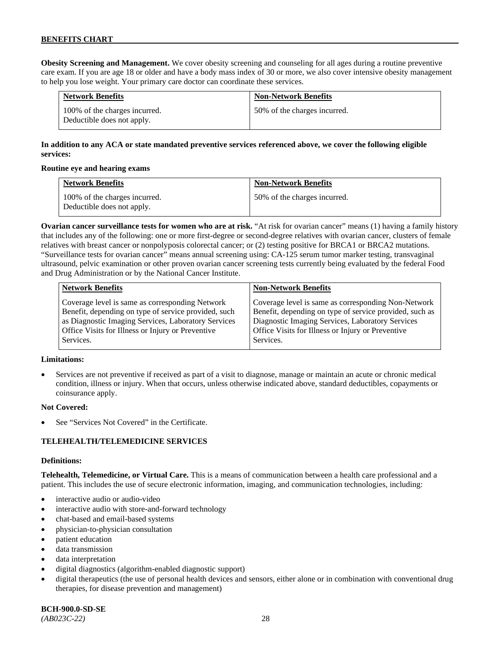**Obesity Screening and Management.** We cover obesity screening and counseling for all ages during a routine preventive care exam. If you are age 18 or older and have a body mass index of 30 or more, we also cover intensive obesity management to help you lose weight. Your primary care doctor can coordinate these services.

| <b>Network Benefits</b>                                     | <b>Non-Network Benefits</b>  |
|-------------------------------------------------------------|------------------------------|
| 100% of the charges incurred.<br>Deductible does not apply. | 50% of the charges incurred. |

# **In addition to any ACA or state mandated preventive services referenced above, we cover the following eligible services:**

### **Routine eye and hearing exams**

| <b>Network Benefits</b>                                     | <b>Non-Network Benefits</b>  |
|-------------------------------------------------------------|------------------------------|
| 100% of the charges incurred.<br>Deductible does not apply. | 50% of the charges incurred. |

**Ovarian cancer surveillance tests for women who are at risk.** "At risk for ovarian cancer" means (1) having a family history that includes any of the following: one or more first-degree or second-degree relatives with ovarian cancer, clusters of female relatives with breast cancer or nonpolyposis colorectal cancer; or (2) testing positive for BRCA1 or BRCA2 mutations. "Surveillance tests for ovarian cancer" means annual screening using: CA-125 serum tumor marker testing, transvaginal ultrasound, pelvic examination or other proven ovarian cancer screening tests currently being evaluated by the federal Food and Drug Administration or by the National Cancer Institute.

| <b>Network Benefits</b>                              | <b>Non-Network Benefits</b>                             |
|------------------------------------------------------|---------------------------------------------------------|
| Coverage level is same as corresponding Network      | Coverage level is same as corresponding Non-Network     |
| Benefit, depending on type of service provided, such | Benefit, depending on type of service provided, such as |
| as Diagnostic Imaging Services, Laboratory Services  | Diagnostic Imaging Services, Laboratory Services        |
| Office Visits for Illness or Injury or Preventive    | Office Visits for Illness or Injury or Preventive       |
| Services.                                            | Services.                                               |

### **Limitations:**

• Services are not preventive if received as part of a visit to diagnose, manage or maintain an acute or chronic medical condition, illness or injury. When that occurs, unless otherwise indicated above, standard deductibles, copayments or coinsurance apply.

### **Not Covered:**

See "Services Not Covered" in the Certificate.

### **TELEHEALTH/TELEMEDICINE SERVICES**

#### **Definitions:**

**Telehealth, Telemedicine, or Virtual Care.** This is a means of communication between a health care professional and a patient. This includes the use of secure electronic information, imaging, and communication technologies, including:

- interactive audio or audio-video
- interactive audio with store-and-forward technology
- chat-based and email-based systems
- physician-to-physician consultation
- patient education
- data transmission
- data interpretation
- digital diagnostics (algorithm-enabled diagnostic support)
- digital therapeutics (the use of personal health devices and sensors, either alone or in combination with conventional drug therapies, for disease prevention and management)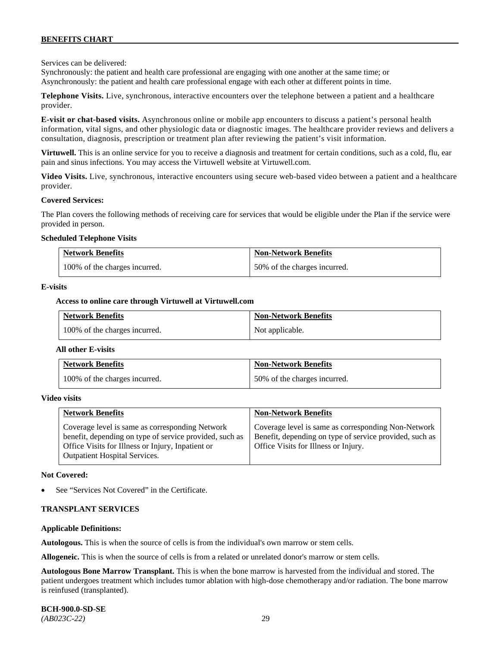Services can be delivered:

Synchronously: the patient and health care professional are engaging with one another at the same time; or Asynchronously: the patient and health care professional engage with each other at different points in time.

**Telephone Visits.** Live, synchronous, interactive encounters over the telephone between a patient and a healthcare provider.

**E-visit or chat-based visits.** Asynchronous online or mobile app encounters to discuss a patient's personal health information, vital signs, and other physiologic data or diagnostic images. The healthcare provider reviews and delivers a consultation, diagnosis, prescription or treatment plan after reviewing the patient's visit information.

**Virtuwell.** This is an online service for you to receive a diagnosis and treatment for certain conditions, such as a cold, flu, ear pain and sinus infections. You may access the Virtuwell website at [Virtuwell.com.](https://www.virtuwell.com/)

**Video Visits.** Live, synchronous, interactive encounters using secure web-based video between a patient and a healthcare provider.

#### **Covered Services:**

The Plan covers the following methods of receiving care for services that would be eligible under the Plan if the service were provided in person.

#### **Scheduled Telephone Visits**

| <b>Network Benefits</b>       | <b>Non-Network Benefits</b>  |
|-------------------------------|------------------------------|
| 100% of the charges incurred. | 50% of the charges incurred. |

#### **E-visits**

#### **Access to online care through Virtuwell at [Virtuwell.com](http://www.virtuwell.com/)**

| <b>Network Benefits</b>       | <b>Non-Network Benefits</b> |
|-------------------------------|-----------------------------|
| 100% of the charges incurred. | Not applicable.             |

#### **All other E-visits**

| <b>Network Benefits</b>       | <b>Non-Network Benefits</b>  |
|-------------------------------|------------------------------|
| 100% of the charges incurred. | 50% of the charges incurred. |

#### **Video visits**

| <b>Network Benefits</b>                                                                                                                                                                          | <b>Non-Network Benefits</b>                                                                                                                            |
|--------------------------------------------------------------------------------------------------------------------------------------------------------------------------------------------------|--------------------------------------------------------------------------------------------------------------------------------------------------------|
| Coverage level is same as corresponding Network<br>benefit, depending on type of service provided, such as<br>Office Visits for Illness or Injury, Inpatient or<br>Outpatient Hospital Services. | Coverage level is same as corresponding Non-Network<br>Benefit, depending on type of service provided, such as<br>Office Visits for Illness or Injury. |

#### **Not Covered:**

See "Services Not Covered" in the Certificate.

#### **TRANSPLANT SERVICES**

#### **Applicable Definitions:**

**Autologous.** This is when the source of cells is from the individual's own marrow or stem cells.

**Allogeneic.** This is when the source of cells is from a related or unrelated donor's marrow or stem cells.

**Autologous Bone Marrow Transplant.** This is when the bone marrow is harvested from the individual and stored. The patient undergoes treatment which includes tumor ablation with high-dose chemotherapy and/or radiation. The bone marrow is reinfused (transplanted).

**BCH-900.0-SD-SE**  *(AB023C-22)* 29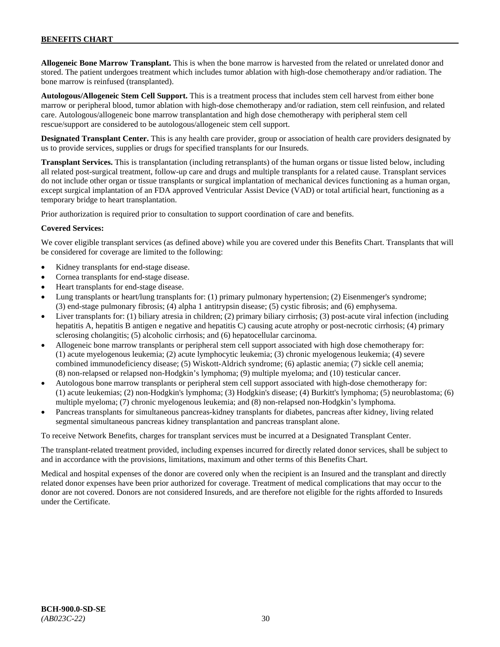**Allogeneic Bone Marrow Transplant.** This is when the bone marrow is harvested from the related or unrelated donor and stored. The patient undergoes treatment which includes tumor ablation with high-dose chemotherapy and/or radiation. The bone marrow is reinfused (transplanted).

**Autologous/Allogeneic Stem Cell Support.** This is a treatment process that includes stem cell harvest from either bone marrow or peripheral blood, tumor ablation with high-dose chemotherapy and/or radiation, stem cell reinfusion, and related care. Autologous/allogeneic bone marrow transplantation and high dose chemotherapy with peripheral stem cell rescue/support are considered to be autologous/allogeneic stem cell support.

**Designated Transplant Center.** This is any health care provider, group or association of health care providers designated by us to provide services, supplies or drugs for specified transplants for our Insureds.

**Transplant Services.** This is transplantation (including retransplants) of the human organs or tissue listed below, including all related post-surgical treatment, follow-up care and drugs and multiple transplants for a related cause. Transplant services do not include other organ or tissue transplants or surgical implantation of mechanical devices functioning as a human organ, except surgical implantation of an FDA approved Ventricular Assist Device (VAD) or total artificial heart, functioning as a temporary bridge to heart transplantation.

Prior authorization is required prior to consultation to support coordination of care and benefits.

### **Covered Services:**

We cover eligible transplant services (as defined above) while you are covered under this Benefits Chart. Transplants that will be considered for coverage are limited to the following:

- Kidney transplants for end-stage disease.
- Cornea transplants for end-stage disease.
- Heart transplants for end-stage disease.
- Lung transplants or heart/lung transplants for: (1) primary pulmonary hypertension; (2) Eisenmenger's syndrome; (3) end-stage pulmonary fibrosis; (4) alpha 1 antitrypsin disease; (5) cystic fibrosis; and (6) emphysema.
- Liver transplants for: (1) biliary atresia in children; (2) primary biliary cirrhosis; (3) post-acute viral infection (including hepatitis A, hepatitis B antigen e negative and hepatitis C) causing acute atrophy or post-necrotic cirrhosis; (4) primary sclerosing cholangitis; (5) alcoholic cirrhosis; and (6) hepatocellular carcinoma.
- Allogeneic bone marrow transplants or peripheral stem cell support associated with high dose chemotherapy for: (1) acute myelogenous leukemia; (2) acute lymphocytic leukemia; (3) chronic myelogenous leukemia; (4) severe combined immunodeficiency disease; (5) Wiskott-Aldrich syndrome; (6) aplastic anemia; (7) sickle cell anemia; (8) non-relapsed or relapsed non-Hodgkin's lymphoma; (9) multiple myeloma; and (10) testicular cancer.
- Autologous bone marrow transplants or peripheral stem cell support associated with high-dose chemotherapy for: (1) acute leukemias; (2) non-Hodgkin's lymphoma; (3) Hodgkin's disease; (4) Burkitt's lymphoma; (5) neuroblastoma; (6) multiple myeloma; (7) chronic myelogenous leukemia; and (8) non-relapsed non-Hodgkin's lymphoma.
- Pancreas transplants for simultaneous pancreas-kidney transplants for diabetes, pancreas after kidney, living related segmental simultaneous pancreas kidney transplantation and pancreas transplant alone.

To receive Network Benefits, charges for transplant services must be incurred at a Designated Transplant Center.

The transplant-related treatment provided, including expenses incurred for directly related donor services, shall be subject to and in accordance with the provisions, limitations, maximum and other terms of this Benefits Chart.

Medical and hospital expenses of the donor are covered only when the recipient is an Insured and the transplant and directly related donor expenses have been prior authorized for coverage. Treatment of medical complications that may occur to the donor are not covered. Donors are not considered Insureds, and are therefore not eligible for the rights afforded to Insureds under the Certificate.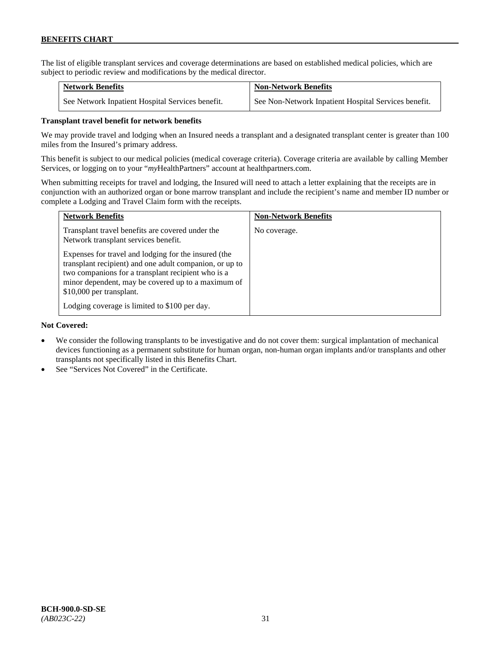The list of eligible transplant services and coverage determinations are based on established medical policies, which are subject to periodic review and modifications by the medical director.

| <b>Network Benefits</b>                          | <b>Non-Network Benefits</b>                          |
|--------------------------------------------------|------------------------------------------------------|
| See Network Inpatient Hospital Services benefit. | See Non-Network Inpatient Hospital Services benefit. |

### **Transplant travel benefit for network benefits**

We may provide travel and lodging when an Insured needs a transplant and a designated transplant center is greater than 100 miles from the Insured's primary address.

This benefit is subject to our medical policies (medical coverage criteria). Coverage criteria are available by calling Member Services, or logging on to your "*my*HealthPartners" account a[t healthpartners.com.](http://www.healthpartners.com/)

When submitting receipts for travel and lodging, the Insured will need to attach a letter explaining that the receipts are in conjunction with an authorized organ or bone marrow transplant and include the recipient's name and member ID number or complete a Lodging and Travel Claim form with the receipts.

| <b>Network Benefits</b>                                                                                                                                                                                                                                 | <b>Non-Network Benefits</b> |
|---------------------------------------------------------------------------------------------------------------------------------------------------------------------------------------------------------------------------------------------------------|-----------------------------|
| Transplant travel benefits are covered under the<br>Network transplant services benefit.                                                                                                                                                                | No coverage.                |
| Expenses for travel and lodging for the insured (the<br>transplant recipient) and one adult companion, or up to<br>two companions for a transplant recipient who is a<br>minor dependent, may be covered up to a maximum of<br>\$10,000 per transplant. |                             |
| Lodging coverage is limited to \$100 per day.                                                                                                                                                                                                           |                             |

#### **Not Covered:**

- We consider the following transplants to be investigative and do not cover them: surgical implantation of mechanical devices functioning as a permanent substitute for human organ, non-human organ implants and/or transplants and other transplants not specifically listed in this Benefits Chart.
- See "Services Not Covered" in the Certificate.